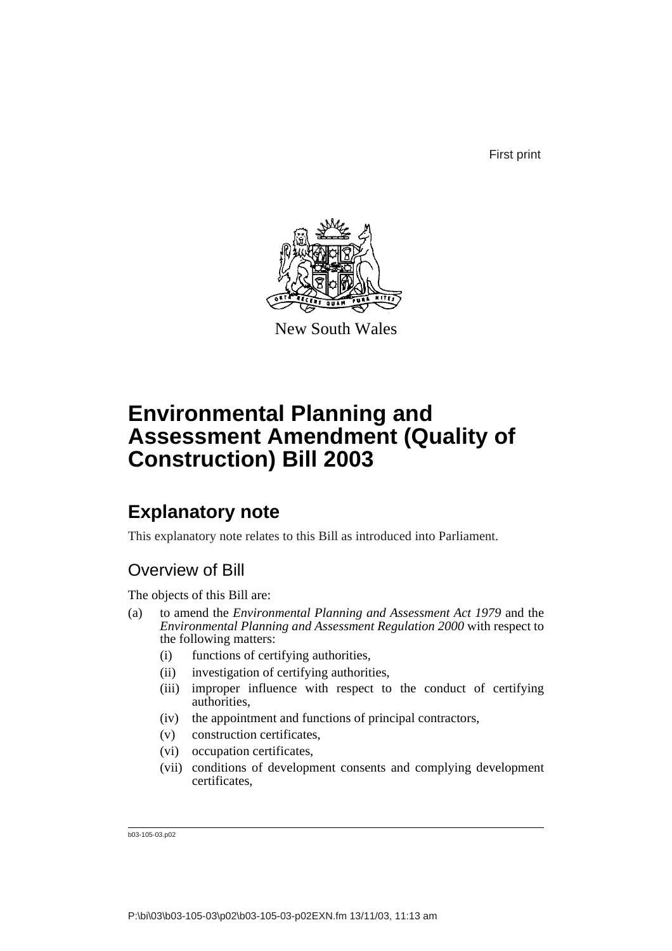First print



New South Wales

# **Environmental Planning and Assessment Amendment (Quality of Construction) Bill 2003**

## **Explanatory note**

This explanatory note relates to this Bill as introduced into Parliament.

## Overview of Bill

The objects of this Bill are:

- (a) to amend the *Environmental Planning and Assessment Act 1979* and the *Environmental Planning and Assessment Regulation 2000* with respect to the following matters:
	- (i) functions of certifying authorities,
	- (ii) investigation of certifying authorities,
	- (iii) improper influence with respect to the conduct of certifying authorities,
	- (iv) the appointment and functions of principal contractors,
	- (v) construction certificates,
	- (vi) occupation certificates,
	- (vii) conditions of development consents and complying development certificates,

b03-105-03.p02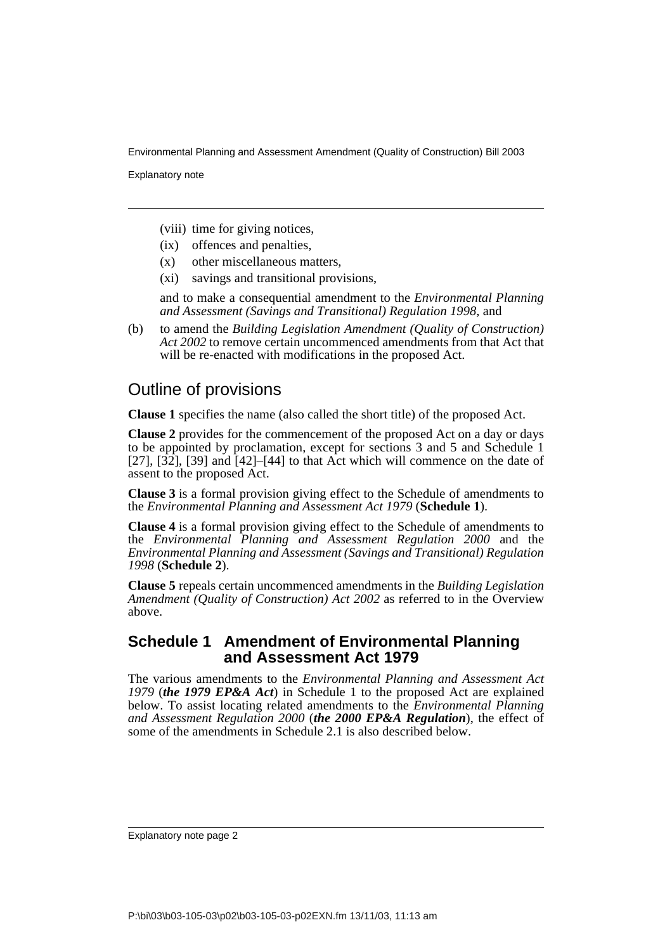Explanatory note

- (viii) time for giving notices,
- (ix) offences and penalties,
- (x) other miscellaneous matters,
- (xi) savings and transitional provisions,

and to make a consequential amendment to the *Environmental Planning and Assessment (Savings and Transitional) Regulation 1998*, and

(b) to amend the *Building Legislation Amendment (Quality of Construction) Act 2002* to remove certain uncommenced amendments from that Act that will be re-enacted with modifications in the proposed Act.

## Outline of provisions

**Clause 1** specifies the name (also called the short title) of the proposed Act.

**Clause 2** provides for the commencement of the proposed Act on a day or days to be appointed by proclamation, except for sections 3 and 5 and Schedule 1  $[27]$ ,  $[32]$ ,  $[39]$  and  $[42]$ – $[44]$  to that Act which will commence on the date of assent to the proposed Act.

**Clause 3** is a formal provision giving effect to the Schedule of amendments to the *Environmental Planning and Assessment Act 1979* (**Schedule 1**).

**Clause 4** is a formal provision giving effect to the Schedule of amendments to the *Environmental Planning and Assessment Regulation 2000* and the *Environmental Planning and Assessment (Savings and Transitional) Regulation 1998* (**Schedule 2**).

**Clause 5** repeals certain uncommenced amendments in the *Building Legislation Amendment (Quality of Construction) Act 2002* as referred to in the Overview above.

## **Schedule 1 Amendment of Environmental Planning and Assessment Act 1979**

The various amendments to the *Environmental Planning and Assessment Act 1979* (*the 1979 EP&A Act*) in Schedule 1 to the proposed Act are explained below. To assist locating related amendments to the *Environmental Planning and Assessment Regulation 2000* (*the 2000 EP&A Regulation*), the effect of some of the amendments in Schedule 2.1 is also described below.

Explanatory note page 2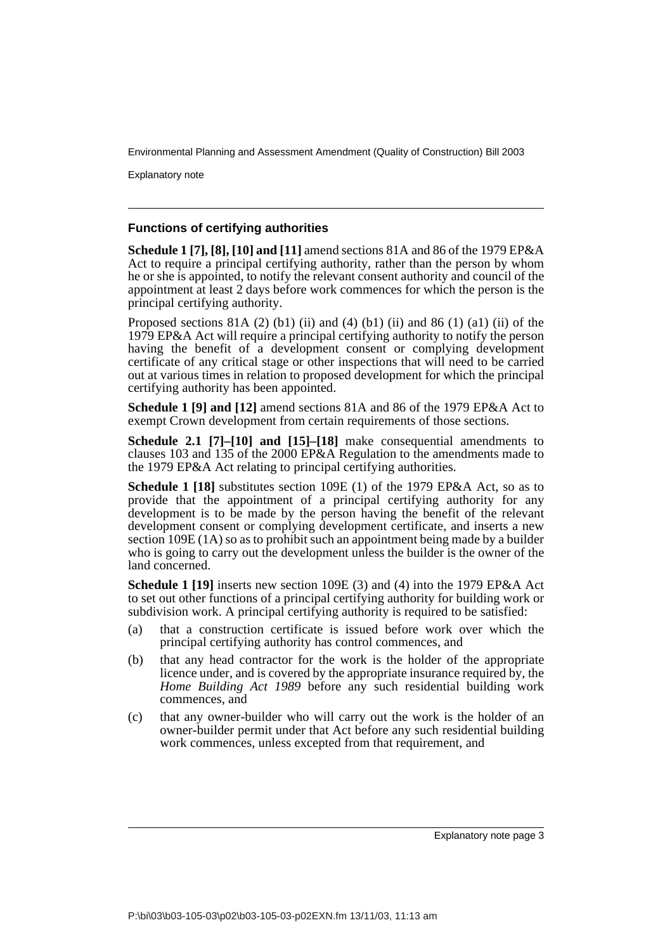Explanatory note

## **Functions of certifying authorities**

**Schedule 1 [7], [8], [10] and [11]** amend sections 81A and 86 of the 1979 EP&A Act to require a principal certifying authority, rather than the person by whom he or she is appointed, to notify the relevant consent authority and council of the appointment at least 2 days before work commences for which the person is the principal certifying authority.

Proposed sections 81A (2) (b1) (ii) and (4) (b1) (ii) and 86 (1) (a1) (ii) of the 1979 EP&A Act will require a principal certifying authority to notify the person having the benefit of a development consent or complying development certificate of any critical stage or other inspections that will need to be carried out at various times in relation to proposed development for which the principal certifying authority has been appointed.

**Schedule 1 [9] and [12]** amend sections 81A and 86 of the 1979 EP&A Act to exempt Crown development from certain requirements of those sections.

**Schedule 2.1 [7]–[10] and [15]–[18]** make consequential amendments to clauses 103 and 135 of the 2000 EP&A Regulation to the amendments made to the 1979 EP&A Act relating to principal certifying authorities.

**Schedule 1 [18]** substitutes section 109E (1) of the 1979 EP&A Act, so as to provide that the appointment of a principal certifying authority for any development is to be made by the person having the benefit of the relevant development consent or complying development certificate, and inserts a new section 109E (1A) so as to prohibit such an appointment being made by a builder who is going to carry out the development unless the builder is the owner of the land concerned.

**Schedule 1 [19]** inserts new section 109E (3) and (4) into the 1979 EP&A Act to set out other functions of a principal certifying authority for building work or subdivision work. A principal certifying authority is required to be satisfied:

- (a) that a construction certificate is issued before work over which the principal certifying authority has control commences, and
- (b) that any head contractor for the work is the holder of the appropriate licence under, and is covered by the appropriate insurance required by, the *Home Building Act 1989* before any such residential building work commences, and
- (c) that any owner-builder who will carry out the work is the holder of an owner-builder permit under that Act before any such residential building work commences, unless excepted from that requirement, and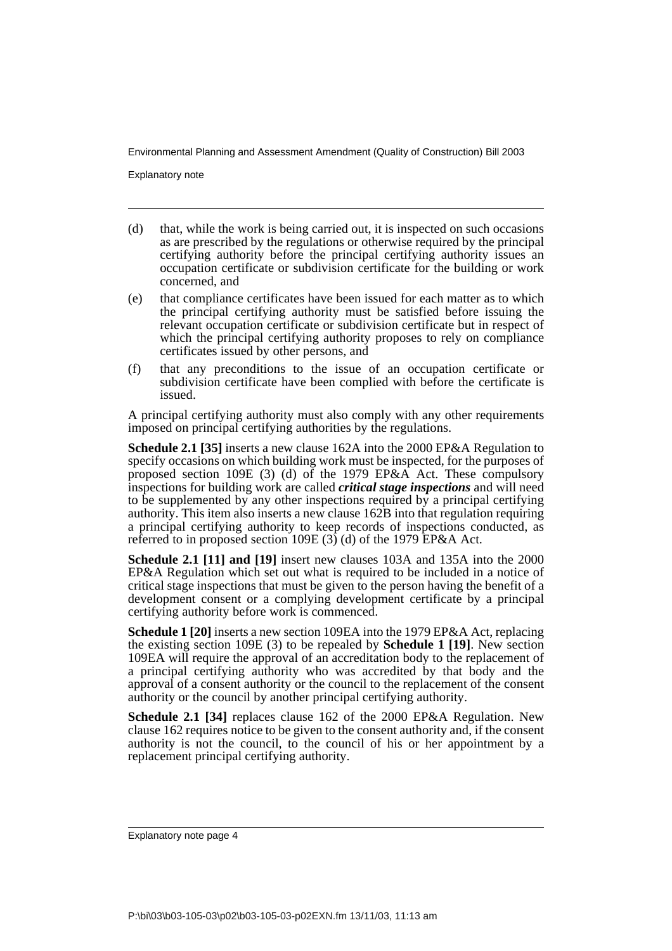Explanatory note

- (d) that, while the work is being carried out, it is inspected on such occasions as are prescribed by the regulations or otherwise required by the principal certifying authority before the principal certifying authority issues an occupation certificate or subdivision certificate for the building or work concerned, and
- (e) that compliance certificates have been issued for each matter as to which the principal certifying authority must be satisfied before issuing the relevant occupation certificate or subdivision certificate but in respect of which the principal certifying authority proposes to rely on compliance certificates issued by other persons, and
- (f) that any preconditions to the issue of an occupation certificate or subdivision certificate have been complied with before the certificate is issued.

A principal certifying authority must also comply with any other requirements imposed on principal certifying authorities by the regulations.

**Schedule 2.1 [35]** inserts a new clause 162A into the 2000 EP&A Regulation to specify occasions on which building work must be inspected, for the purposes of proposed section 109E (3) (d) of the 1979 EP&A Act. These compulsory inspections for building work are called *critical stage inspections* and will need to be supplemented by any other inspections required by a principal certifying authority. This item also inserts a new clause 162B into that regulation requiring a principal certifying authority to keep records of inspections conducted, as referred to in proposed section 109E (3) (d) of the 1979 EP&A Act.

**Schedule 2.1 [11] and [19]** insert new clauses 103A and 135A into the 2000 EP&A Regulation which set out what is required to be included in a notice of critical stage inspections that must be given to the person having the benefit of a development consent or a complying development certificate by a principal certifying authority before work is commenced.

**Schedule 1 [20]** inserts a new section 109EA into the 1979 EP&A Act, replacing the existing section 109E (3) to be repealed by **Schedule 1 [19]**. New section 109EA will require the approval of an accreditation body to the replacement of a principal certifying authority who was accredited by that body and the approval of a consent authority or the council to the replacement of the consent authority or the council by another principal certifying authority.

**Schedule 2.1 [34]** replaces clause 162 of the 2000 EP&A Regulation. New clause 162 requires notice to be given to the consent authority and, if the consent authority is not the council, to the council of his or her appointment by a replacement principal certifying authority.

Explanatory note page 4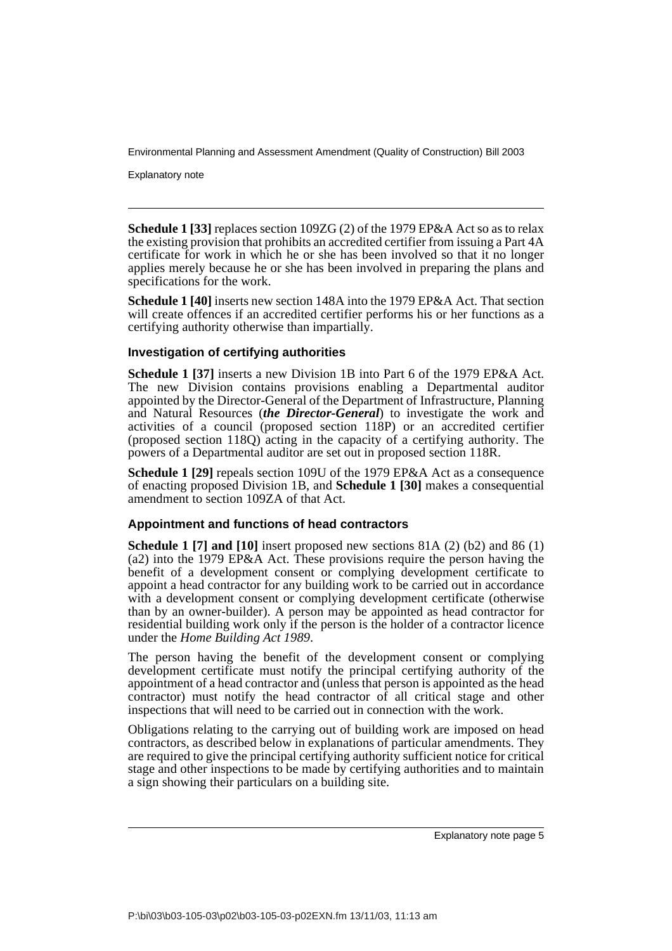Explanatory note

**Schedule 1 [33]** replaces section 109ZG (2) of the 1979 EP&A Act so as to relax the existing provision that prohibits an accredited certifier from issuing a Part 4A certificate for work in which he or she has been involved so that it no longer applies merely because he or she has been involved in preparing the plans and specifications for the work.

**Schedule 1 [40]** inserts new section 148A into the 1979 EP&A Act. That section will create offences if an accredited certifier performs his or her functions as a certifying authority otherwise than impartially.

## **Investigation of certifying authorities**

**Schedule 1 [37]** inserts a new Division 1B into Part 6 of the 1979 EP&A Act. The new Division contains provisions enabling a Departmental auditor appointed by the Director-General of the Department of Infrastructure, Planning and Natural Resources (*the Director-General*) to investigate the work and activities of a council (proposed section 118P) or an accredited certifier (proposed section 118Q) acting in the capacity of a certifying authority. The powers of a Departmental auditor are set out in proposed section 118R.

**Schedule 1 [29]** repeals section 109U of the 1979 EP&A Act as a consequence of enacting proposed Division 1B, and **Schedule 1 [30]** makes a consequential amendment to section 109ZA of that Act.

## **Appointment and functions of head contractors**

**Schedule 1 [7] and [10]** insert proposed new sections 81A (2) (b2) and 86 (1) (a2) into the 1979 EP&A Act. These provisions require the person having the benefit of a development consent or complying development certificate to appoint a head contractor for any building work to be carried out in accordance with a development consent or complying development certificate (otherwise than by an owner-builder). A person may be appointed as head contractor for residential building work only if the person is the holder of a contractor licence under the *Home Building Act 1989*.

The person having the benefit of the development consent or complying development certificate must notify the principal certifying authority of the appointment of a head contractor and (unless that person is appointed as the head contractor) must notify the head contractor of all critical stage and other inspections that will need to be carried out in connection with the work.

Obligations relating to the carrying out of building work are imposed on head contractors, as described below in explanations of particular amendments. They are required to give the principal certifying authority sufficient notice for critical stage and other inspections to be made by certifying authorities and to maintain a sign showing their particulars on a building site.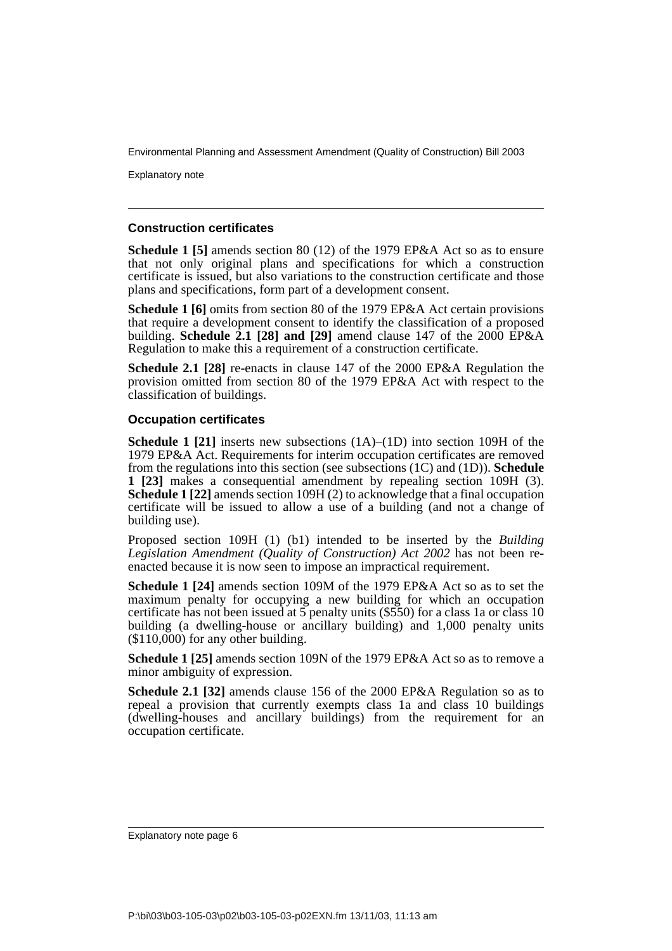Explanatory note

## **Construction certificates**

**Schedule 1 [5]** amends section 80 (12) of the 1979 EP&A Act so as to ensure that not only original plans and specifications for which a construction certificate is issued, but also variations to the construction certificate and those plans and specifications, form part of a development consent.

**Schedule 1 [6]** omits from section 80 of the 1979 EP&A Act certain provisions that require a development consent to identify the classification of a proposed building. **Schedule 2.1 [28] and [29]** amend clause 147 of the 2000 EP&A Regulation to make this a requirement of a construction certificate.

**Schedule 2.1 [28]** re-enacts in clause 147 of the 2000 EP&A Regulation the provision omitted from section 80 of the 1979 EP&A Act with respect to the classification of buildings.

## **Occupation certificates**

**Schedule 1 [21]** inserts new subsections  $(1A)$ –(1D) into section 109H of the 1979 EP&A Act. Requirements for interim occupation certificates are removed from the regulations into this section (see subsections (1C) and (1D)). **Schedule 1 [23]** makes a consequential amendment by repealing section 109H (3). **Schedule 1 [22]** amends section 109H (2) to acknowledge that a final occupation certificate will be issued to allow a use of a building (and not a change of building use).

Proposed section 109H (1) (b1) intended to be inserted by the *Building Legislation Amendment (Quality of Construction) Act 2002* has not been reenacted because it is now seen to impose an impractical requirement.

**Schedule 1 [24]** amends section 109M of the 1979 EP&A Act so as to set the maximum penalty for occupying a new building for which an occupation certificate has not been issued at 5 penalty units (\$550) for a class 1a or class 10 building (a dwelling-house or ancillary building) and 1,000 penalty units (\$110,000) for any other building.

**Schedule 1 [25]** amends section 109N of the 1979 EP&A Act so as to remove a minor ambiguity of expression.

**Schedule 2.1 [32]** amends clause 156 of the 2000 EP&A Regulation so as to repeal a provision that currently exempts class 1a and class 10 buildings (dwelling-houses and ancillary buildings) from the requirement for an occupation certificate.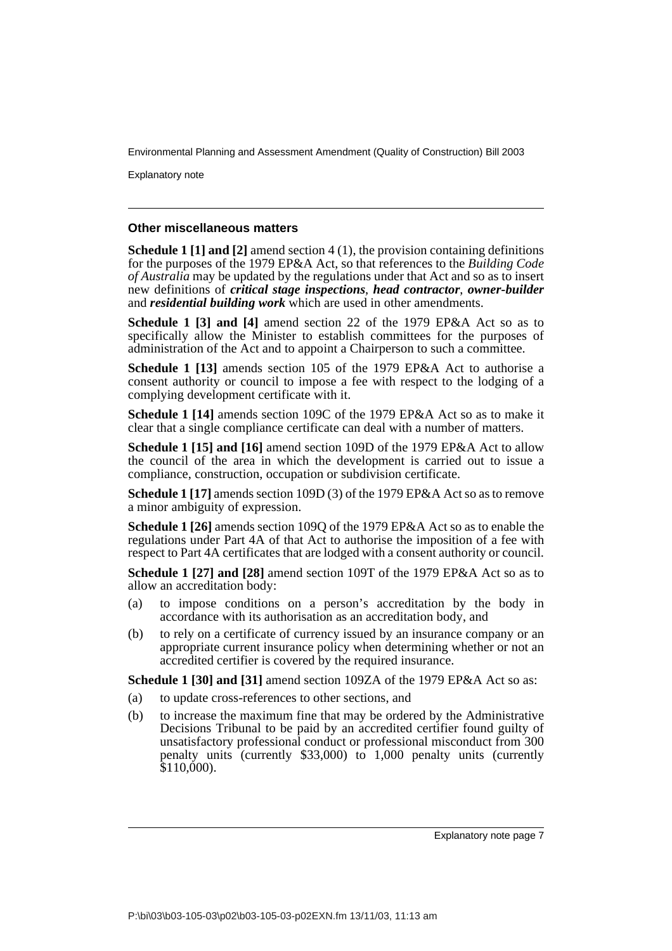Explanatory note

#### **Other miscellaneous matters**

**Schedule 1 [1] and [2]** amend section 4 (1), the provision containing definitions for the purposes of the 1979 EP&A Act, so that references to the *Building Code of Australia* may be updated by the regulations under that Act and so as to insert new definitions of *critical stage inspections*, *head contractor*, *owner-builder* and *residential building work* which are used in other amendments.

**Schedule 1 [3] and [4]** amend section 22 of the 1979 EP&A Act so as to specifically allow the Minister to establish committees for the purposes of administration of the Act and to appoint a Chairperson to such a committee.

**Schedule 1 [13]** amends section 105 of the 1979 EP&A Act to authorise a consent authority or council to impose a fee with respect to the lodging of a complying development certificate with it.

**Schedule 1 [14]** amends section 109C of the 1979 EP&A Act so as to make it clear that a single compliance certificate can deal with a number of matters.

**Schedule 1 [15] and [16]** amend section 109D of the 1979 EP&A Act to allow the council of the area in which the development is carried out to issue a compliance, construction, occupation or subdivision certificate.

**Schedule 1 [17]** amends section 109D (3) of the 1979 EP&A Act so as to remove a minor ambiguity of expression.

**Schedule 1 [26]** amends section 109Q of the 1979 EP&A Act so as to enable the regulations under Part 4A of that Act to authorise the imposition of a fee with respect to Part 4A certificates that are lodged with a consent authority or council.

**Schedule 1 [27] and [28]** amend section 109T of the 1979 EP&A Act so as to allow an accreditation body:

- (a) to impose conditions on a person's accreditation by the body in accordance with its authorisation as an accreditation body, and
- (b) to rely on a certificate of currency issued by an insurance company or an appropriate current insurance policy when determining whether or not an accredited certifier is covered by the required insurance.

**Schedule 1 [30] and [31]** amend section 109ZA of the 1979 EP&A Act so as:

- (a) to update cross-references to other sections, and
- (b) to increase the maximum fine that may be ordered by the Administrative Decisions Tribunal to be paid by an accredited certifier found guilty of unsatisfactory professional conduct or professional misconduct from 300 penalty units (currently \$33,000) to 1,000 penalty units (currently  $$110,000$ ).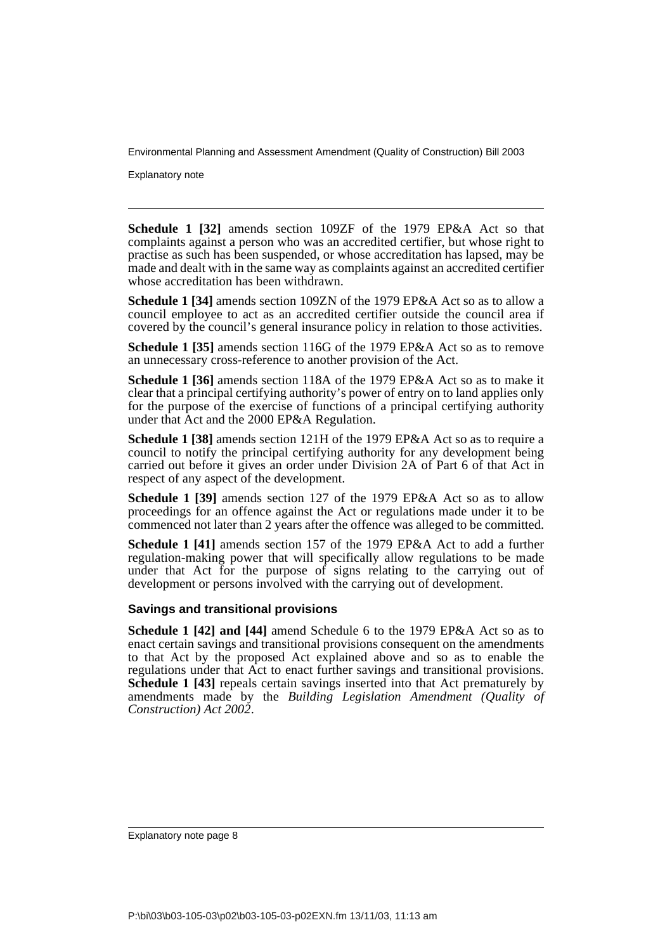Explanatory note

**Schedule 1 [32]** amends section 109ZF of the 1979 EP&A Act so that complaints against a person who was an accredited certifier, but whose right to practise as such has been suspended, or whose accreditation has lapsed, may be made and dealt with in the same way as complaints against an accredited certifier whose accreditation has been withdrawn.

**Schedule 1 [34]** amends section 109ZN of the 1979 EP&A Act so as to allow a council employee to act as an accredited certifier outside the council area if covered by the council's general insurance policy in relation to those activities.

**Schedule 1 [35]** amends section 116G of the 1979 EP&A Act so as to remove an unnecessary cross-reference to another provision of the Act.

**Schedule 1 [36]** amends section 118A of the 1979 EP&A Act so as to make it clear that a principal certifying authority's power of entry on to land applies only for the purpose of the exercise of functions of a principal certifying authority under that Act and the 2000 EP&A Regulation.

**Schedule 1 [38]** amends section 121H of the 1979 EP&A Act so as to require a council to notify the principal certifying authority for any development being carried out before it gives an order under Division 2A of Part 6 of that Act in respect of any aspect of the development.

**Schedule 1 [39]** amends section 127 of the 1979 EP&A Act so as to allow proceedings for an offence against the Act or regulations made under it to be commenced not later than 2 years after the offence was alleged to be committed.

**Schedule 1 [41]** amends section 157 of the 1979 EP&A Act to add a further regulation-making power that will specifically allow regulations to be made under that Act for the purpose of signs relating to the carrying out of development or persons involved with the carrying out of development.

## **Savings and transitional provisions**

**Schedule 1 [42] and [44]** amend Schedule 6 to the 1979 EP&A Act so as to enact certain savings and transitional provisions consequent on the amendments to that Act by the proposed Act explained above and so as to enable the regulations under that Act to enact further savings and transitional provisions. **Schedule 1 [43]** repeals certain savings inserted into that Act prematurely by amendments made by the *Building Legislation Amendment (Quality of Construction) Act 2002*.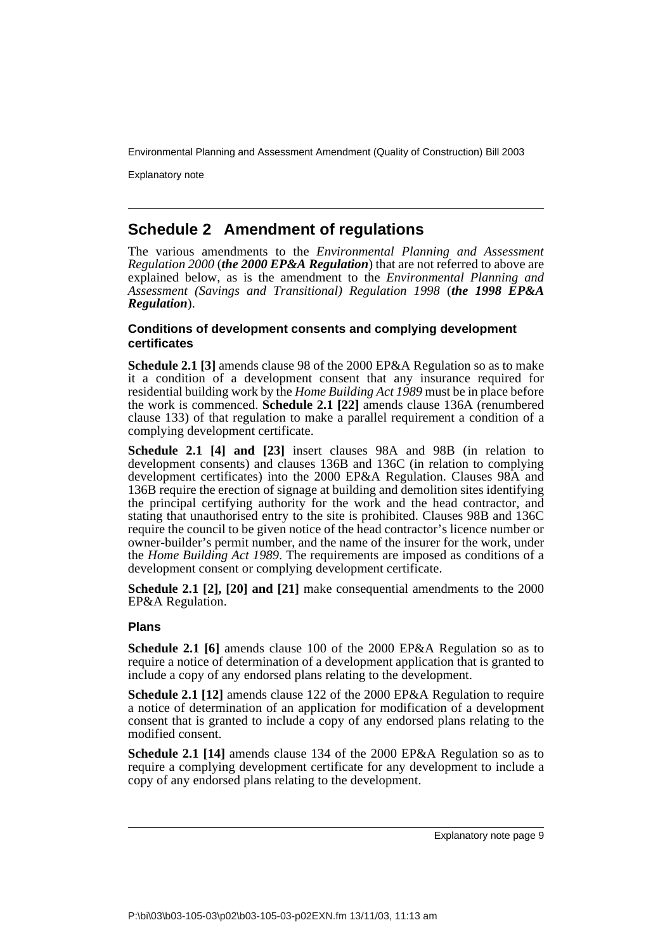Explanatory note

## **Schedule 2 Amendment of regulations**

The various amendments to the *Environmental Planning and Assessment Regulation 2000* (*the 2000 EP&A Regulation*) that are not referred to above are explained below, as is the amendment to the *Environmental Planning and Assessment (Savings and Transitional) Regulation 1998* (*the 1998 EP&A Regulation*).

## **Conditions of development consents and complying development certificates**

**Schedule 2.1 [3]** amends clause 98 of the 2000 EP&A Regulation so as to make it a condition of a development consent that any insurance required for residential building work by the *Home Building Act 1989* must be in place before the work is commenced. **Schedule 2.1 [22]** amends clause 136A (renumbered clause 133) of that regulation to make a parallel requirement a condition of a complying development certificate.

**Schedule 2.1 [4] and [23]** insert clauses 98A and 98B (in relation to development consents) and clauses 136B and 136C (in relation to complying development certificates) into the 2000 EP&A Regulation. Clauses 98A and 136B require the erection of signage at building and demolition sites identifying the principal certifying authority for the work and the head contractor, and stating that unauthorised entry to the site is prohibited. Clauses 98B and 136C require the council to be given notice of the head contractor's licence number or owner-builder's permit number, and the name of the insurer for the work, under the *Home Building Act 1989*. The requirements are imposed as conditions of a development consent or complying development certificate.

**Schedule 2.1 [2], [20] and [21]** make consequential amendments to the 2000 EP&A Regulation.

## **Plans**

**Schedule 2.1 [6]** amends clause 100 of the 2000 EP&A Regulation so as to require a notice of determination of a development application that is granted to include a copy of any endorsed plans relating to the development.

**Schedule 2.1 [12]** amends clause 122 of the 2000 EP&A Regulation to require a notice of determination of an application for modification of a development consent that is granted to include a copy of any endorsed plans relating to the modified consent.

**Schedule 2.1 [14]** amends clause 134 of the 2000 EP&A Regulation so as to require a complying development certificate for any development to include a copy of any endorsed plans relating to the development.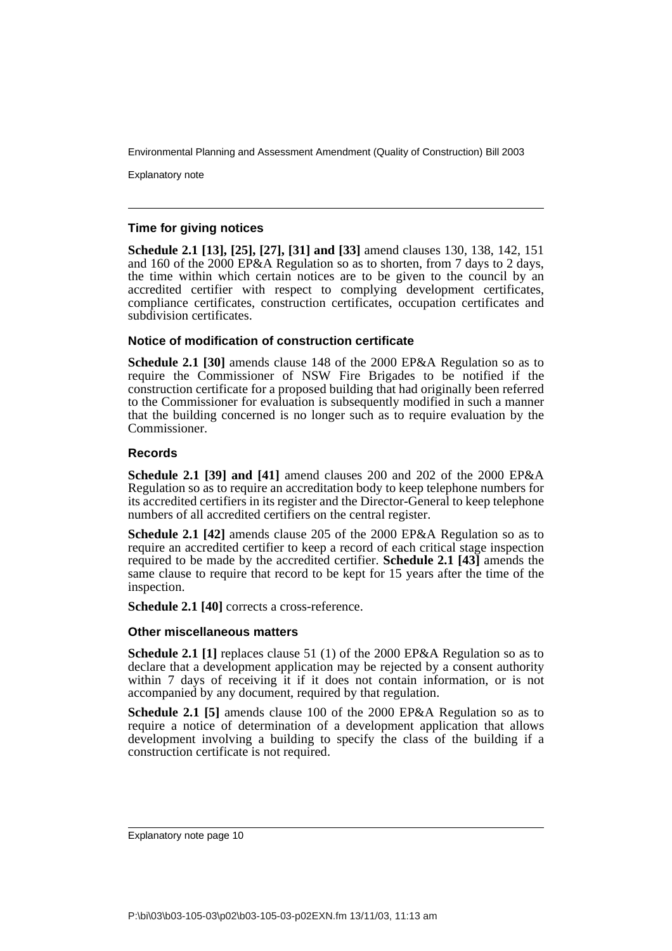Explanatory note

## **Time for giving notices**

**Schedule 2.1 [13], [25], [27], [31] and [33]** amend clauses 130, 138, 142, 151 and 160 of the 2000 EP&A Regulation so as to shorten, from 7 days to 2 days, the time within which certain notices are to be given to the council by an accredited certifier with respect to complying development certificates, compliance certificates, construction certificates, occupation certificates and subdivision certificates.

## **Notice of modification of construction certificate**

**Schedule 2.1 [30]** amends clause 148 of the 2000 EP&A Regulation so as to require the Commissioner of NSW Fire Brigades to be notified if the construction certificate for a proposed building that had originally been referred to the Commissioner for evaluation is subsequently modified in such a manner that the building concerned is no longer such as to require evaluation by the Commissioner.

## **Records**

**Schedule 2.1 [39] and [41]** amend clauses 200 and 202 of the 2000 EP&A Regulation so as to require an accreditation body to keep telephone numbers for its accredited certifiers in its register and the Director-General to keep telephone numbers of all accredited certifiers on the central register.

**Schedule 2.1 [42]** amends clause 205 of the 2000 EP&A Regulation so as to require an accredited certifier to keep a record of each critical stage inspection required to be made by the accredited certifier. **Schedule 2.1 [43]** amends the same clause to require that record to be kept for 15 years after the time of the inspection.

**Schedule 2.1 [40]** corrects a cross-reference.

## **Other miscellaneous matters**

**Schedule 2.1 [1]** replaces clause 51 (1) of the 2000 EP&A Regulation so as to declare that a development application may be rejected by a consent authority within 7 days of receiving it if it does not contain information, or is not accompanied by any document, required by that regulation.

**Schedule 2.1 [5]** amends clause 100 of the 2000 EP&A Regulation so as to require a notice of determination of a development application that allows development involving a building to specify the class of the building if a construction certificate is not required.

Explanatory note page 10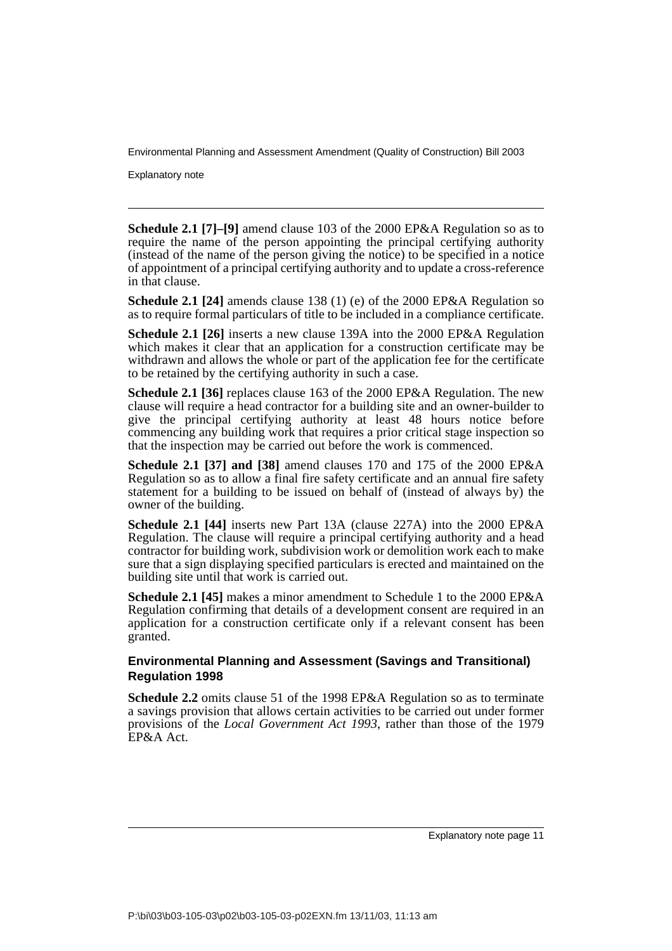Explanatory note

**Schedule 2.1 [7]–[9]** amend clause 103 of the 2000 EP&A Regulation so as to require the name of the person appointing the principal certifying authority (instead of the name of the person giving the notice) to be specified in a notice of appointment of a principal certifying authority and to update a cross-reference in that clause.

**Schedule 2.1 [24]** amends clause 138 (1) (e) of the 2000 EP&A Regulation so as to require formal particulars of title to be included in a compliance certificate.

**Schedule 2.1 [26]** inserts a new clause 139A into the 2000 EP&A Regulation which makes it clear that an application for a construction certificate may be withdrawn and allows the whole or part of the application fee for the certificate to be retained by the certifying authority in such a case.

**Schedule 2.1 [36]** replaces clause 163 of the 2000 EP&A Regulation. The new clause will require a head contractor for a building site and an owner-builder to give the principal certifying authority at least 48 hours notice before commencing any building work that requires a prior critical stage inspection so that the inspection may be carried out before the work is commenced.

**Schedule 2.1 [37] and [38]** amend clauses 170 and 175 of the 2000 EP&A Regulation so as to allow a final fire safety certificate and an annual fire safety statement for a building to be issued on behalf of (instead of always by) the owner of the building.

**Schedule 2.1 [44]** inserts new Part 13A (clause 227A) into the 2000 EP&A Regulation. The clause will require a principal certifying authority and a head contractor for building work, subdivision work or demolition work each to make sure that a sign displaying specified particulars is erected and maintained on the building site until that work is carried out.

**Schedule 2.1 [45]** makes a minor amendment to Schedule 1 to the 2000 EP&A Regulation confirming that details of a development consent are required in an application for a construction certificate only if a relevant consent has been granted.

## **Environmental Planning and Assessment (Savings and Transitional) Regulation 1998**

**Schedule 2.2** omits clause 51 of the 1998 EP&A Regulation so as to terminate a savings provision that allows certain activities to be carried out under former provisions of the *Local Government Act 1993*, rather than those of the 1979 EP&A Act.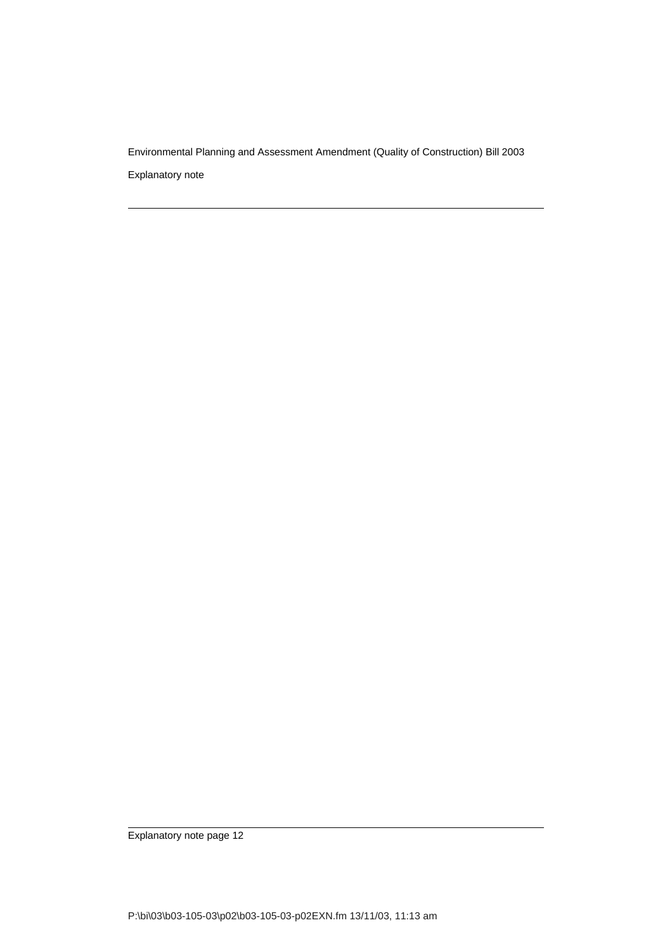Explanatory note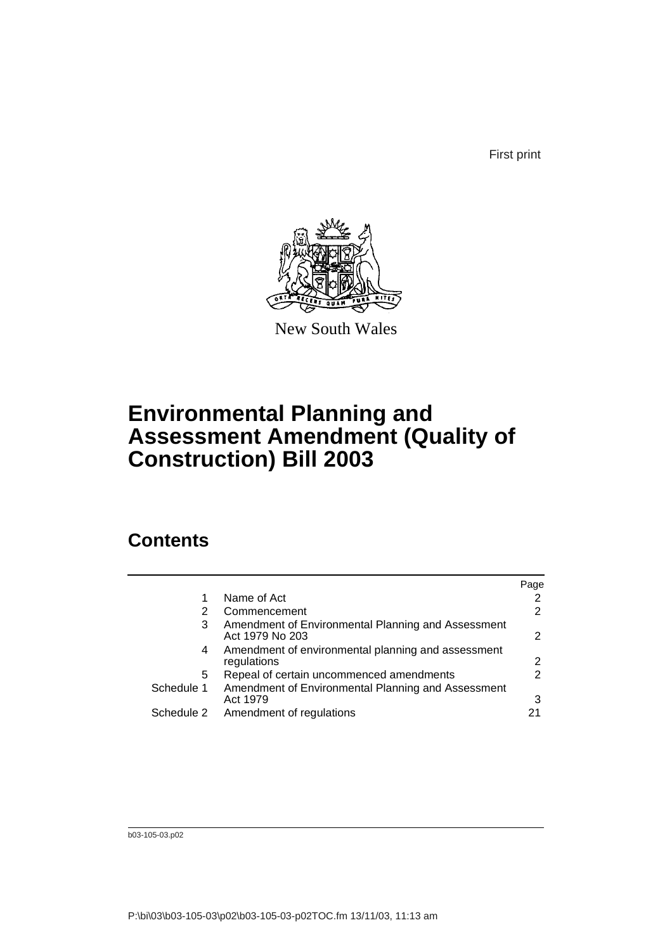First print



New South Wales

## **Environmental Planning and Assessment Amendment (Quality of Construction) Bill 2003**

## **Contents**

|            |                                                                       | Page |
|------------|-----------------------------------------------------------------------|------|
|            | Name of Act                                                           |      |
| 2          | Commencement                                                          | 2    |
| 3          | Amendment of Environmental Planning and Assessment<br>Act 1979 No 203 | 2    |
| 4          | Amendment of environmental planning and assessment<br>regulations     | 2    |
| 5.         | Repeal of certain uncommenced amendments                              |      |
| Schedule 1 | Amendment of Environmental Planning and Assessment<br>Act 1979        | 3    |
| Schedule 2 | Amendment of regulations                                              |      |
|            |                                                                       |      |

b03-105-03.p02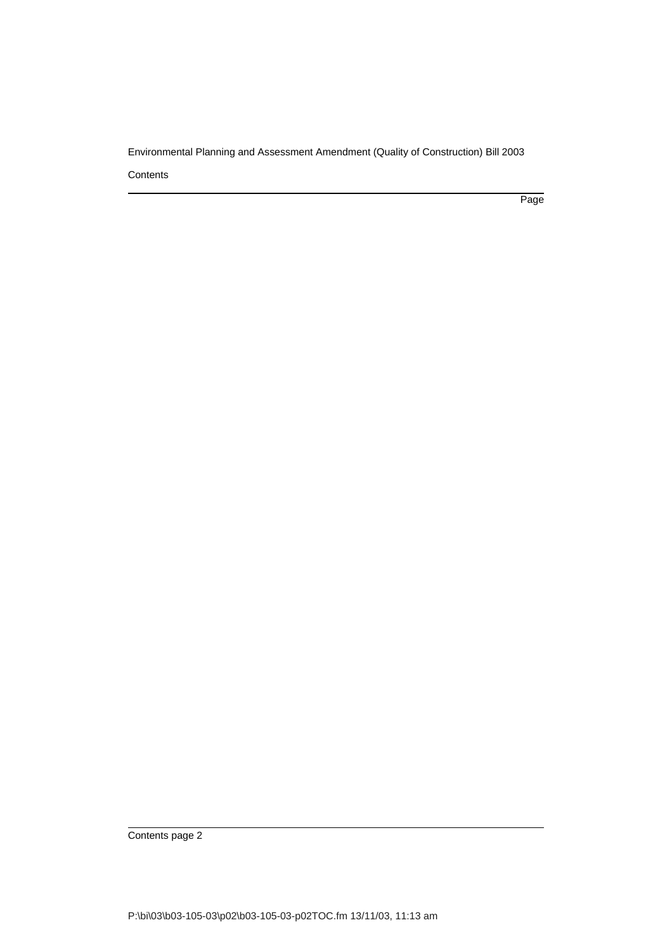**Contents** 

Page

Contents page 2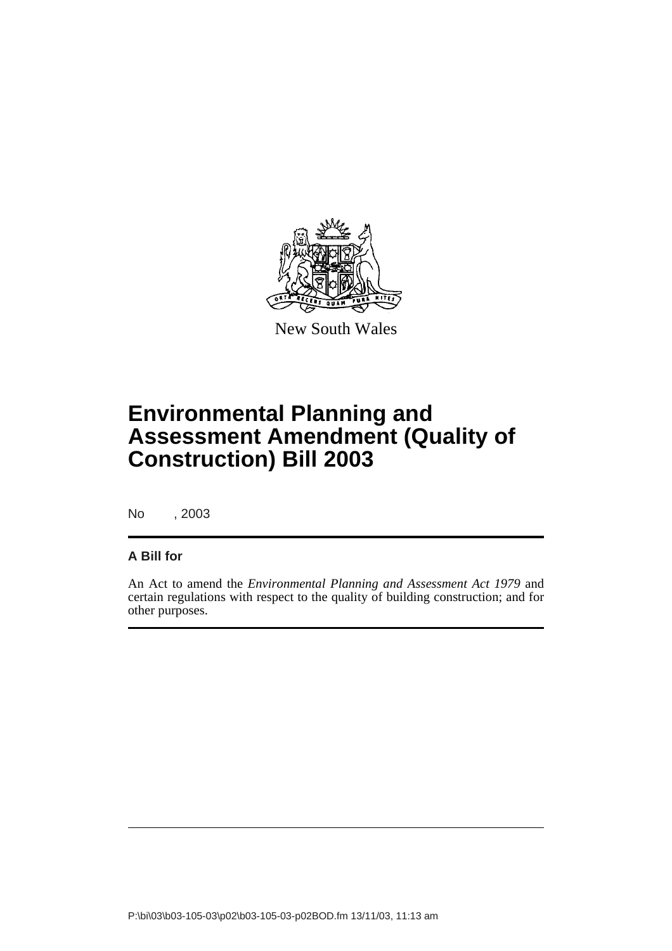

New South Wales

# **Environmental Planning and Assessment Amendment (Quality of Construction) Bill 2003**

No , 2003

## **A Bill for**

An Act to amend the *Environmental Planning and Assessment Act 1979* and certain regulations with respect to the quality of building construction; and for other purposes.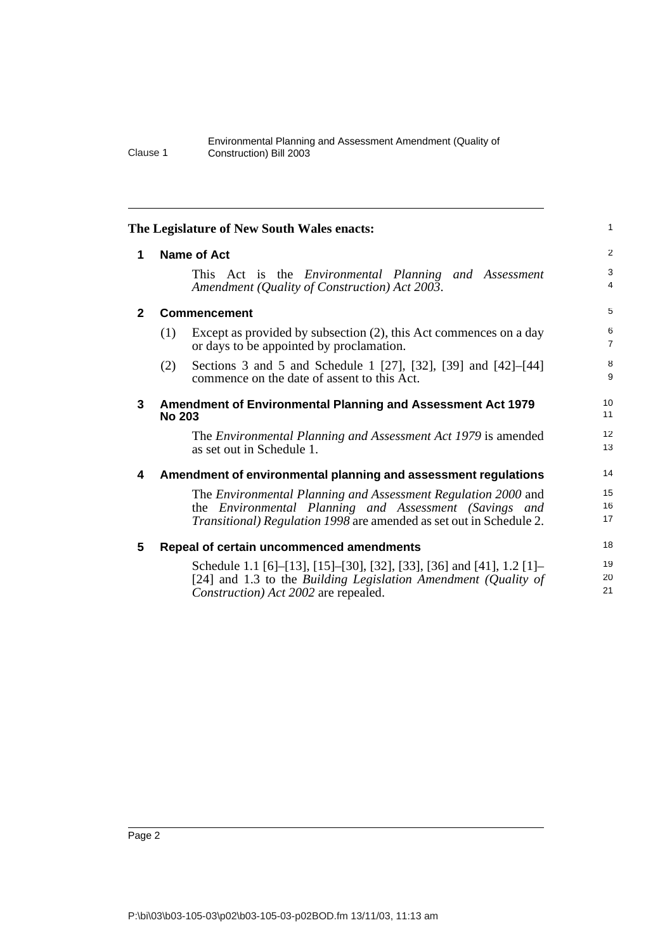|              | The Legislature of New South Wales enacts:                                                                           | 1                   |
|--------------|----------------------------------------------------------------------------------------------------------------------|---------------------|
| $\mathbf 1$  | Name of Act                                                                                                          | $\overline{c}$      |
|              | This Act is the <i>Environmental Planning and Assessment</i><br>Amendment (Quality of Construction) Act 2003.        | 3<br>4              |
| $\mathbf{2}$ | <b>Commencement</b>                                                                                                  | 5                   |
|              | (1)<br>Except as provided by subsection (2), this Act commences on a day<br>or days to be appointed by proclamation. | 6<br>$\overline{7}$ |
|              | Sections 3 and 5 and Schedule 1 [27], [32], [39] and [42]–[44]<br>(2)<br>commence on the date of assent to this Act. | 8<br>9              |
| 3            | Amendment of Environmental Planning and Assessment Act 1979<br><b>No 203</b>                                         | 10<br>11            |
|              | The <i>Environmental Planning and Assessment Act 1979</i> is amended<br>as set out in Schedule 1.                    | 12<br>13            |
| 4            | Amendment of environmental planning and assessment regulations                                                       | 14                  |
|              | The Environmental Planning and Assessment Regulation 2000 and                                                        | 15                  |
|              | the Environmental Planning and Assessment (Savings and                                                               | 16                  |
|              | Transitional) Regulation 1998 are amended as set out in Schedule 2.                                                  | 17                  |
| 5            | Repeal of certain uncommenced amendments                                                                             | 18                  |
|              | Schedule 1.1 [6]–[13], [15]–[30], [32], [33], [36] and [41], 1.2 [1]–                                                | 19                  |
|              | [24] and 1.3 to the Building Legislation Amendment (Quality of                                                       | 20                  |
|              | Construction) Act 2002 are repealed.                                                                                 | 21                  |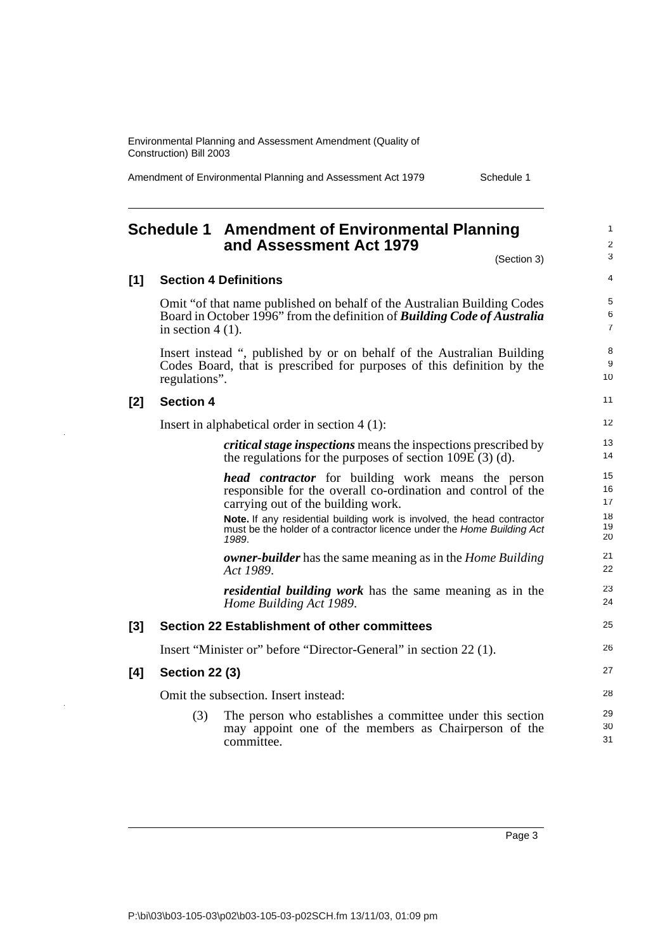Amendment of Environmental Planning and Assessment Act 1979 Schedule 1

**[1] Section 4 Definitions**

## **Schedule 1 Amendment of Environmental Planning and Assessment Act 1979**

Omit "of that name published on behalf of the Australian Building Codes

(Section 3)

29 30 31

1 2

|     | Board in October 1996" from the definition of <b>Building Code of Australia</b><br>in section $4(1)$ .                                                            | 6<br>$\overline{7}$ |
|-----|-------------------------------------------------------------------------------------------------------------------------------------------------------------------|---------------------|
|     | Insert instead ", published by or on behalf of the Australian Building<br>Codes Board, that is prescribed for purposes of this definition by the<br>regulations". | 8<br>9<br>10        |
| [2] | <b>Section 4</b>                                                                                                                                                  | 11                  |
|     | Insert in alphabetical order in section $4(1)$ :                                                                                                                  | 12                  |
|     | <i>critical stage inspections</i> means the inspections prescribed by<br>the regulations for the purposes of section $109E(3)(d)$ .                               | 13<br>14            |
|     | <i>head contractor</i> for building work means the person<br>responsible for the overall co-ordination and control of the<br>carrying out of the building work.   | 15<br>16<br>17      |
|     | Note. If any residential building work is involved, the head contractor<br>must be the holder of a contractor licence under the Home Building Act<br>1989.        | 18<br>19<br>20      |
|     | <b><i>owner-builder</i></b> has the same meaning as in the <i>Home Building</i><br>Act 1989.                                                                      | 21<br>22            |
|     | <i>residential building work</i> has the same meaning as in the<br>Home Building Act 1989.                                                                        | 23<br>24            |
| [3] | Section 22 Establishment of other committees                                                                                                                      | 25                  |
|     | Insert "Minister or" before "Director-General" in section 22 (1).                                                                                                 | 26                  |
| [4] | <b>Section 22 (3)</b>                                                                                                                                             | 27                  |
|     | Omit the subsection. Insert instead:                                                                                                                              | 28                  |

(3) The person who establishes a committee under this section may appoint one of the members as Chairperson of the committee.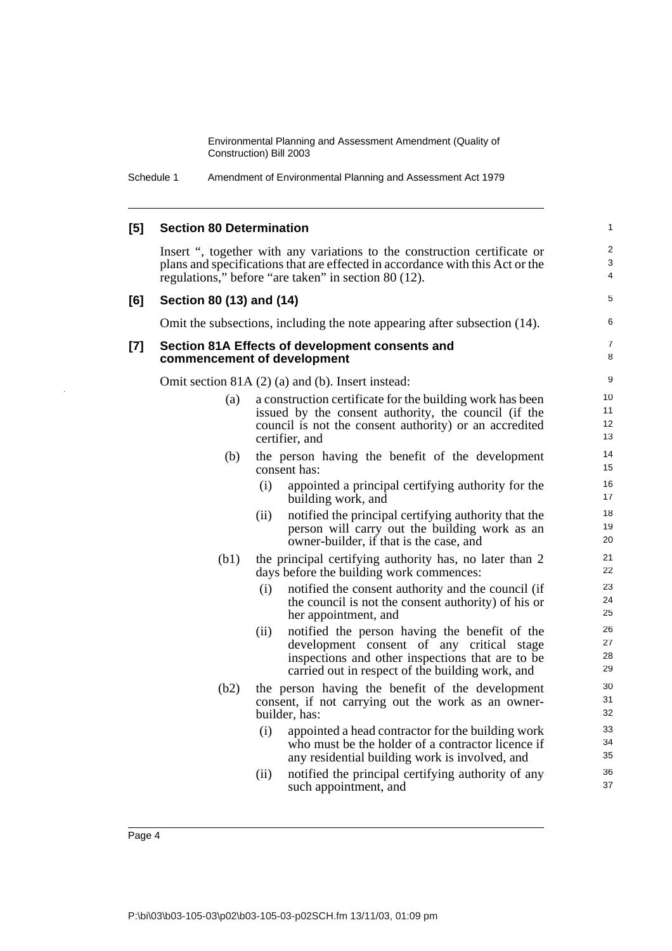Schedule 1 Amendment of Environmental Planning and Assessment Act 1979

#### **[5] Section 80 Determination** Insert ", together with any variations to the construction certificate or plans and specifications that are effected in accordance with this Act or the regulations," before "are taken" in section 80 (12). **[6] Section 80 (13) and (14)** Omit the subsections, including the note appearing after subsection (14). **[7] Section 81A Effects of development consents and commencement of development** Omit section 81A (2) (a) and (b). Insert instead: (a) a construction certificate for the building work has been issued by the consent authority, the council (if the council is not the consent authority) or an accredited certifier, and (b) the person having the benefit of the development consent has: (i) appointed a principal certifying authority for the building work, and (ii) notified the principal certifying authority that the person will carry out the building work as an owner-builder, if that is the case, and (b1) the principal certifying authority has, no later than 2 days before the building work commences: (i) notified the consent authority and the council (if the council is not the consent authority) of his or her appointment, and (ii) notified the person having the benefit of the development consent of any critical stage inspections and other inspections that are to be carried out in respect of the building work, and (b2) the person having the benefit of the development consent, if not carrying out the work as an ownerbuilder, has: (i) appointed a head contractor for the building work who must be the holder of a contractor licence if any residential building work is involved, and (ii) notified the principal certifying authority of any such appointment, and 1  $\overline{2}$ 3 4 5 6 7 8  $\alpha$ 10 11 12 13 14 15 16 17 18 19 20 21 22 23 24 25 26 27 28 29 30 31 32 33 34 35 36 37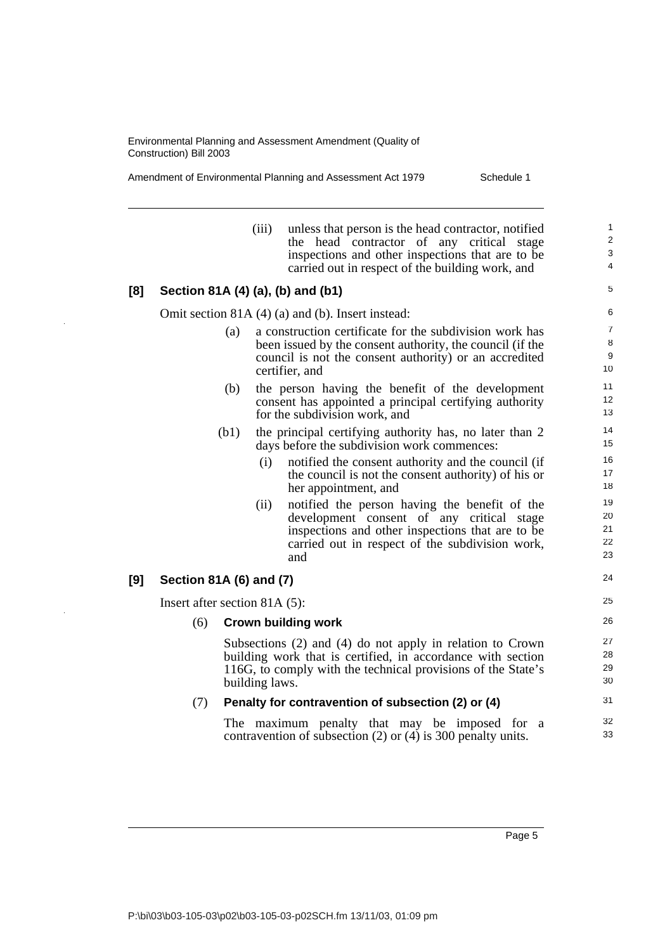Amendment of Environmental Planning and Assessment Act 1979 Schedule 1

J.

|     |                                  |      | (iii)          | unless that person is the head contractor, notified                                                                 | $\mathbf{1}$   |
|-----|----------------------------------|------|----------------|---------------------------------------------------------------------------------------------------------------------|----------------|
|     |                                  |      |                | the head contractor of any critical<br>stage                                                                        | $\overline{2}$ |
|     |                                  |      |                | inspections and other inspections that are to be                                                                    | 3<br>4         |
|     |                                  |      |                | carried out in respect of the building work, and                                                                    |                |
| [8] |                                  |      |                | Section 81A (4) (a), (b) and (b1)                                                                                   | 5              |
|     |                                  |      |                | Omit section 81A (4) (a) and (b). Insert instead:                                                                   | 6              |
|     |                                  | (a)  |                | a construction certificate for the subdivision work has                                                             | $\overline{7}$ |
|     |                                  |      |                | been issued by the consent authority, the council (if the<br>council is not the consent authority) or an accredited | 8<br>9         |
|     |                                  |      |                | certifier, and                                                                                                      | 10             |
|     |                                  | (b)  |                | the person having the benefit of the development                                                                    | 11             |
|     |                                  |      |                | consent has appointed a principal certifying authority                                                              | 12<br>13       |
|     |                                  |      |                | for the subdivision work, and                                                                                       | 14             |
|     |                                  | (b1) |                | the principal certifying authority has, no later than 2<br>days before the subdivision work commences:              | 15             |
|     |                                  |      | (i)            | notified the consent authority and the council (if                                                                  | 16             |
|     |                                  |      |                | the council is not the consent authority) of his or<br>her appointment, and                                         | 17<br>18       |
|     |                                  |      | (ii)           | notified the person having the benefit of the                                                                       | 19             |
|     |                                  |      |                | development consent of any critical stage<br>inspections and other inspections that are to be                       | 20<br>21       |
|     |                                  |      |                | carried out in respect of the subdivision work,                                                                     | 22             |
|     |                                  |      |                | and                                                                                                                 | 23             |
| [9] | Section 81A (6) and (7)          |      |                |                                                                                                                     | 24             |
|     | Insert after section 81A $(5)$ : |      |                |                                                                                                                     | 25             |
|     | (6)                              |      |                | <b>Crown building work</b>                                                                                          | 26             |
|     |                                  |      |                | Subsections (2) and (4) do not apply in relation to Crown                                                           | 27             |
|     |                                  |      |                | building work that is certified, in accordance with section                                                         | 28             |
|     |                                  |      | building laws. | 116G, to comply with the technical provisions of the State's                                                        | 29<br>30       |
|     | (7)                              |      |                | Penalty for contravention of subsection (2) or (4)                                                                  | 31             |
|     |                                  |      |                | The maximum penalty that may be imposed for a                                                                       | 32             |
|     |                                  |      |                | contravention of subsection $(2)$ or $(4)$ is 300 penalty units.                                                    | 33             |
|     |                                  |      |                |                                                                                                                     |                |
|     |                                  |      |                |                                                                                                                     |                |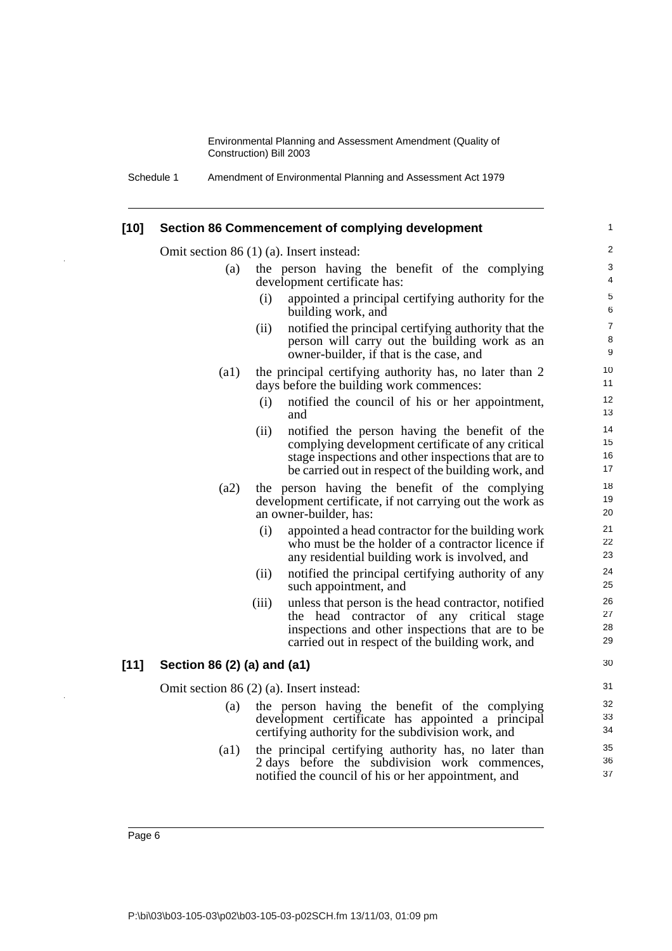1

Schedule 1 Amendment of Environmental Planning and Assessment Act 1979

## **[10] Section 86 Commencement of complying development**

Omit section 86 (1) (a). Insert in

|      | Omit section 86 (1) (a). Insert instead: |       |                                                                                                                                                                                                                  | $\overline{c}$                 |
|------|------------------------------------------|-------|------------------------------------------------------------------------------------------------------------------------------------------------------------------------------------------------------------------|--------------------------------|
|      | (a)                                      |       | the person having the benefit of the complying<br>development certificate has:                                                                                                                                   | 3<br>4                         |
|      |                                          | (i)   | appointed a principal certifying authority for the<br>building work, and                                                                                                                                         | $\sqrt{5}$<br>6                |
|      |                                          | (ii)  | notified the principal certifying authority that the<br>person will carry out the building work as an<br>owner-builder, if that is the case, and                                                                 | $\overline{7}$<br>$\,8\,$<br>9 |
|      | $\left( a1\right)$                       |       | the principal certifying authority has, no later than 2<br>days before the building work commences:                                                                                                              | 10<br>11                       |
|      |                                          | (i)   | notified the council of his or her appointment,<br>and                                                                                                                                                           | 12<br>13                       |
|      |                                          | (ii)  | notified the person having the benefit of the<br>complying development certificate of any critical<br>stage inspections and other inspections that are to<br>be carried out in respect of the building work, and | 14<br>15<br>16<br>17           |
|      | (a2)                                     |       | the person having the benefit of the complying<br>development certificate, if not carrying out the work as<br>an owner-builder, has:                                                                             | 18<br>19<br>20                 |
|      |                                          | (i)   | appointed a head contractor for the building work<br>who must be the holder of a contractor licence if<br>any residential building work is involved, and                                                         | 21<br>22<br>23                 |
|      |                                          | (ii)  | notified the principal certifying authority of any<br>such appointment, and                                                                                                                                      | 24<br>25                       |
|      |                                          | (iii) | unless that person is the head contractor, notified<br>the head contractor of any critical<br>stage<br>inspections and other inspections that are to be<br>carried out in respect of the building work, and      | 26<br>27<br>28<br>29           |
| [11] | Section 86 (2) (a) and (a1)              |       |                                                                                                                                                                                                                  | 30                             |
|      | Omit section 86 (2) (a). Insert instead: |       |                                                                                                                                                                                                                  | 31                             |
|      | (a)                                      |       | the person having the benefit of the complying<br>development certificate has appointed a principal<br>certifying authority for the subdivision work, and                                                        | 32<br>33<br>34                 |
|      | $\left( a1\right)$                       |       | the principal certifying authority has, no later than<br>2 days before the subdivision work commences,<br>notified the council of his or her appointment, and                                                    | 35<br>36<br>37                 |
|      |                                          |       |                                                                                                                                                                                                                  |                                |

l.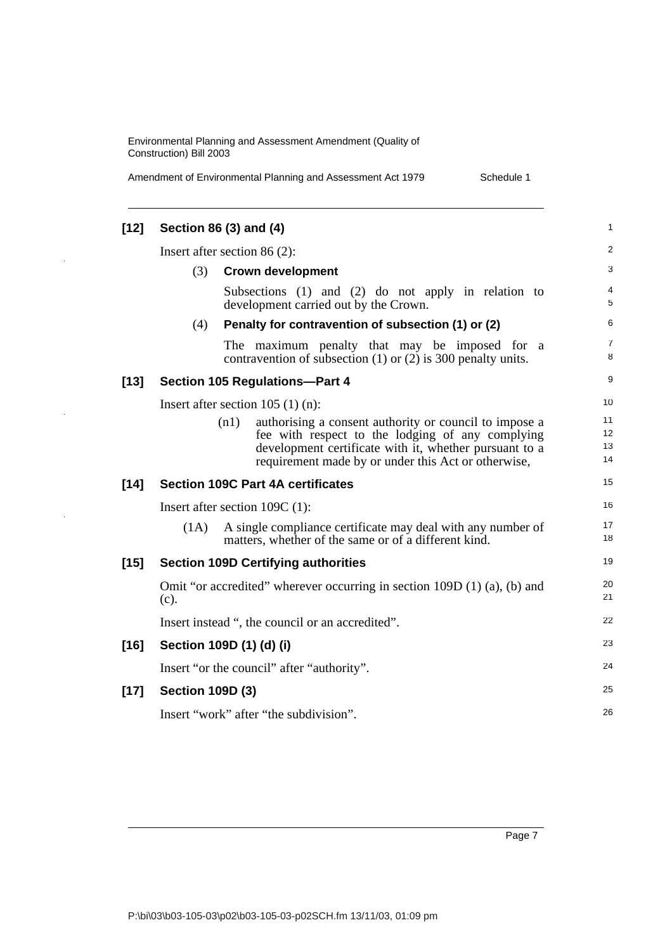Amendment of Environmental Planning and Assessment Act 1979 Schedule 1

| $[12]$ | Section 86 (3) and (4)                                                                                                                                                                                                              | 1                    |
|--------|-------------------------------------------------------------------------------------------------------------------------------------------------------------------------------------------------------------------------------------|----------------------|
|        | Insert after section 86 $(2)$ :                                                                                                                                                                                                     | $\overline{2}$       |
|        | (3)<br><b>Crown development</b>                                                                                                                                                                                                     | 3                    |
|        | Subsections $(1)$ and $(2)$ do not apply in relation to<br>development carried out by the Crown.                                                                                                                                    | 4<br>5               |
|        | Penalty for contravention of subsection (1) or (2)<br>(4)                                                                                                                                                                           | 6                    |
|        | The maximum penalty that may be imposed for a<br>contravention of subsection $(1)$ or $(2)$ is 300 penalty units.                                                                                                                   | $\overline{7}$<br>8  |
| $[13]$ | Section 105 Regulations-Part 4                                                                                                                                                                                                      | 9                    |
|        | Insert after section $105(1)(n)$ :                                                                                                                                                                                                  | 10                   |
|        | authorising a consent authority or council to impose a<br>(n1)<br>fee with respect to the lodging of any complying<br>development certificate with it, whether pursuant to a<br>requirement made by or under this Act or otherwise, | 11<br>12<br>13<br>14 |
| $[14]$ | <b>Section 109C Part 4A certificates</b>                                                                                                                                                                                            | 15                   |
|        | Insert after section $109C(1)$ :                                                                                                                                                                                                    | 16                   |
|        | A single compliance certificate may deal with any number of<br>(1A)<br>matters, whether of the same or of a different kind.                                                                                                         | 17<br>18             |
| $[15]$ | <b>Section 109D Certifying authorities</b>                                                                                                                                                                                          | 19                   |
|        | Omit "or accredited" wherever occurring in section 109D $(1)$ $(a)$ , $(b)$ and                                                                                                                                                     | 20                   |
|        | (c).                                                                                                                                                                                                                                | 21                   |
|        | Insert instead ", the council or an accredited".                                                                                                                                                                                    | 22                   |
| $[16]$ | Section 109D (1) (d) (i)                                                                                                                                                                                                            | 23                   |
|        | Insert "or the council" after "authority".                                                                                                                                                                                          | 24                   |
| $[17]$ | <b>Section 109D (3)</b>                                                                                                                                                                                                             | 25                   |
|        | Insert "work" after "the subdivision".                                                                                                                                                                                              | 26                   |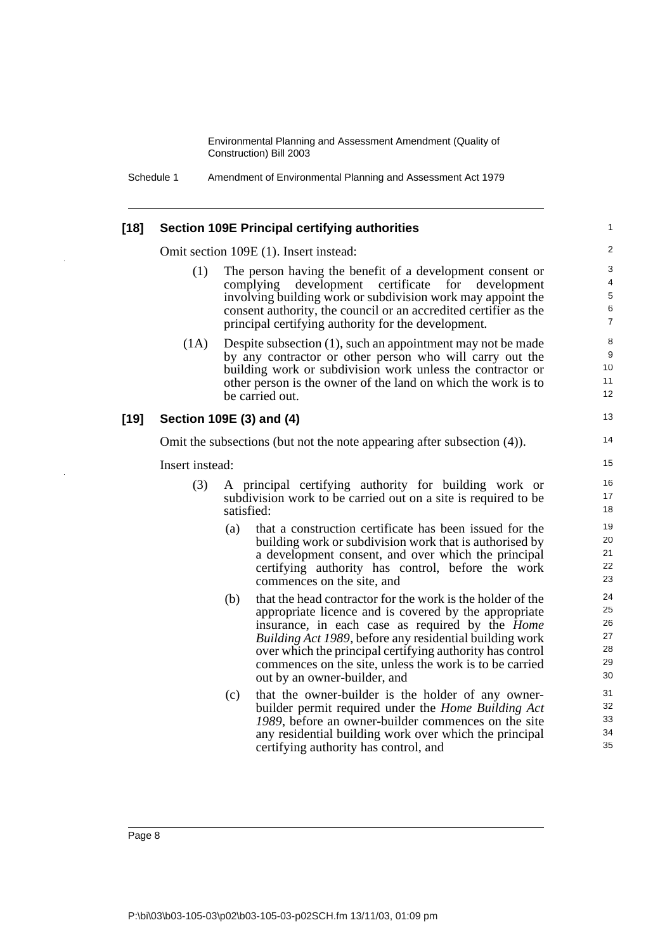Schedule 1 Amendment of Environmental Planning and Assessment Act 1979

#### **[18] Section 109E Principal certifying authorities**

Omit section 109E (1). Insert instead:

(1) The person having the benefit of a development consent or complying development certificate for development involving building work or subdivision work may appoint the consent authority, the council or an accredited certifier as the principal certifying authority for the development.

13

14

(1A) Despite subsection (1), such an appointment may not be made by any contractor or other person who will carry out the building work or subdivision work unless the contractor or other person is the owner of the land on which the work is to be carried out.

#### **[19] Section 109E (3) and (4)**

Omit the subsections (but not the note appearing after subsection (4)).

Insert instead:

- (3) A principal certifying authority for building work or subdivision work to be carried out on a site is required to be satisfied:
	- (a) that a construction certificate has been issued for the building work or subdivision work that is authorised by a development consent, and over which the principal certifying authority has control, before the work commences on the site, and
	- (b) that the head contractor for the work is the holder of the appropriate licence and is covered by the appropriate insurance, in each case as required by the *Home Building Act 1989*, before any residential building work over which the principal certifying authority has control commences on the site, unless the work is to be carried out by an owner-builder, and
	- (c) that the owner-builder is the holder of any ownerbuilder permit required under the *Home Building Act 1989*, before an owner-builder commences on the site any residential building work over which the principal certifying authority has control, and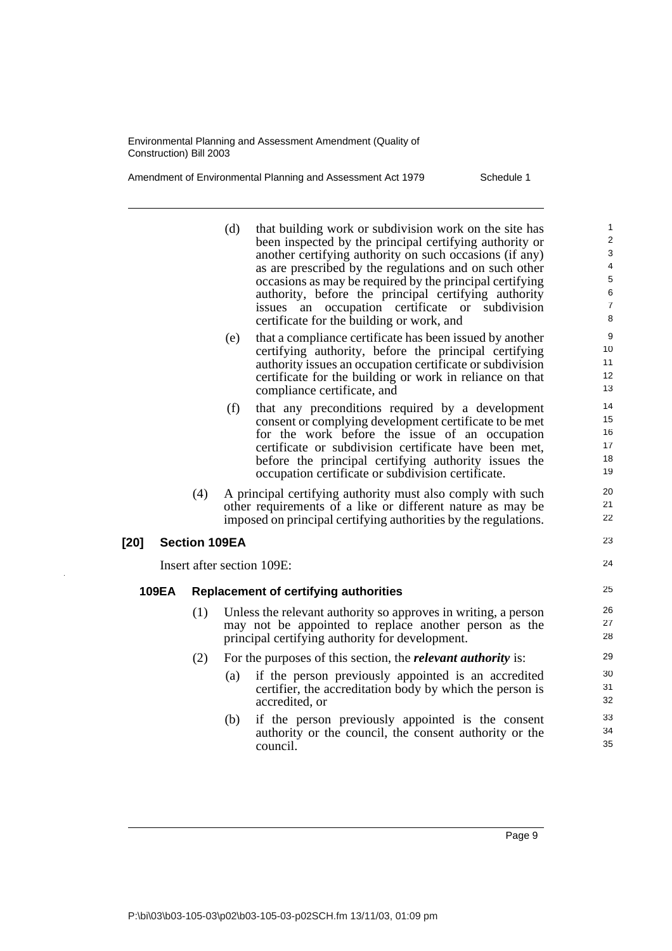Amendment of Environmental Planning and Assessment Act 1979 Schedule 1

[20]

l,

|       |                      | (d)<br>that building work or subdivision work on the site has<br>been inspected by the principal certifying authority or                                                                                                                                                                                                                   | 1<br>2                           |
|-------|----------------------|--------------------------------------------------------------------------------------------------------------------------------------------------------------------------------------------------------------------------------------------------------------------------------------------------------------------------------------------|----------------------------------|
|       |                      | another certifying authority on such occasions (if any)<br>as are prescribed by the regulations and on such other<br>occasions as may be required by the principal certifying<br>authority, before the principal certifying authority                                                                                                      | 3<br>4<br>5<br>6                 |
|       |                      | issues an occupation certificate or subdivision<br>certificate for the building or work, and                                                                                                                                                                                                                                               | $\overline{7}$<br>8              |
|       |                      | that a compliance certificate has been issued by another<br>(e)<br>certifying authority, before the principal certifying<br>authority issues an occupation certificate or subdivision<br>certificate for the building or work in reliance on that<br>compliance certificate, and                                                           | 9<br>10<br>11<br>12<br>13        |
|       |                      | that any preconditions required by a development<br>(f)<br>consent or complying development certificate to be met<br>for the work before the issue of an occupation<br>certificate or subdivision certificate have been met,<br>before the principal certifying authority issues the<br>occupation certificate or subdivision certificate. | 14<br>15<br>16<br>17<br>18<br>19 |
|       | (4)                  | A principal certifying authority must also comply with such<br>other requirements of a like or different nature as may be<br>imposed on principal certifying authorities by the regulations.                                                                                                                                               | 20<br>21<br>22                   |
| l     | <b>Section 109EA</b> |                                                                                                                                                                                                                                                                                                                                            | 23                               |
|       |                      | Insert after section 109E:                                                                                                                                                                                                                                                                                                                 | 24                               |
| 109EA |                      | <b>Replacement of certifying authorities</b>                                                                                                                                                                                                                                                                                               | 25                               |
|       | (1)                  | Unless the relevant authority so approves in writing, a person<br>may not be appointed to replace another person as the<br>principal certifying authority for development.                                                                                                                                                                 | 26<br>27<br>28                   |
|       | (2)                  | For the purposes of this section, the <i>relevant authority</i> is:                                                                                                                                                                                                                                                                        | 29                               |
|       |                      | if the person previously appointed is an accredited<br>(a)<br>certifier, the accreditation body by which the person is<br>accredited, or                                                                                                                                                                                                   | 30<br>31<br>32                   |
|       |                      | if the person previously appointed is the consent<br>(b)<br>authority or the council, the consent authority or the<br>council.                                                                                                                                                                                                             | 33<br>34<br>35                   |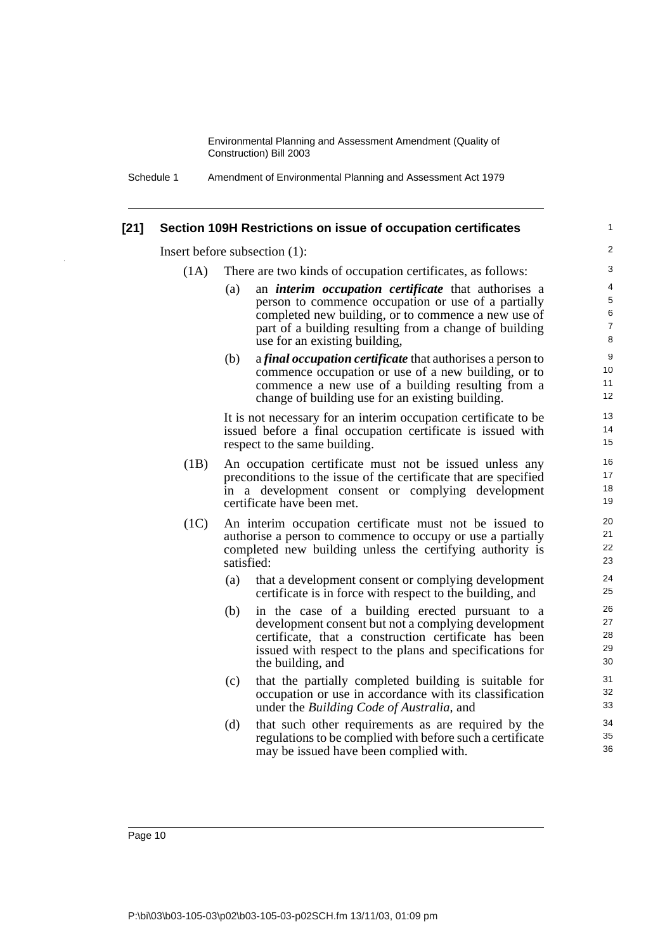Schedule 1 Amendment of Environmental Planning and Assessment Act 1979

#### **[21] Section 109H Restrictions on issue of occupation certificates**

Insert before subsection (1):

- (1A) There are two kinds of occupation certificates, as follows:
	- (a) an *interim occupation certificate* that authorises a person to commence occupation or use of a partially completed new building, or to commence a new use of part of a building resulting from a change of building use for an existing building,

(b) a *final occupation certificate* that authorises a person to commence occupation or use of a new building, or to commence a new use of a building resulting from a change of building use for an existing building.

It is not necessary for an interim occupation certificate to be issued before a final occupation certificate is issued with respect to the same building.

- (1B) An occupation certificate must not be issued unless any preconditions to the issue of the certificate that are specified in a development consent or complying development certificate have been met.
- (1C) An interim occupation certificate must not be issued to authorise a person to commence to occupy or use a partially completed new building unless the certifying authority is satisfied:
	- (a) that a development consent or complying development certificate is in force with respect to the building, and
	- (b) in the case of a building erected pursuant to a development consent but not a complying development certificate, that a construction certificate has been issued with respect to the plans and specifications for the building, and
	- (c) that the partially completed building is suitable for occupation or use in accordance with its classification under the *Building Code of Australia*, and
	- (d) that such other requirements as are required by the regulations to be complied with before such a certificate may be issued have been complied with.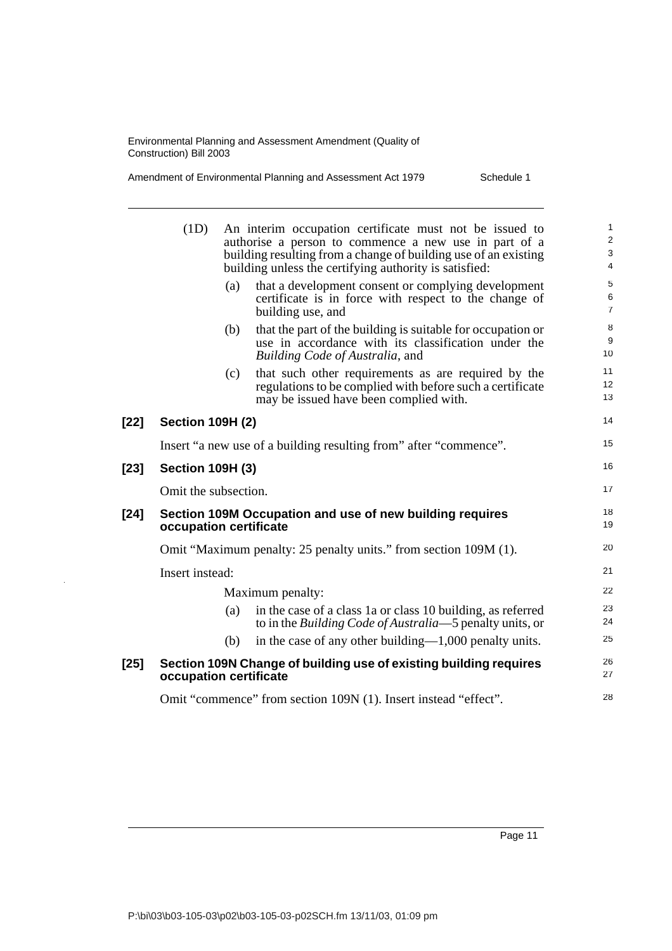| Amendment of Environmental Planning and Assessment Act 1979 |  |
|-------------------------------------------------------------|--|
|-------------------------------------------------------------|--|

Schedule 1

|        | (1D)                    |     | An interim occupation certificate must not be issued to<br>authorise a person to commence a new use in part of a<br>building resulting from a change of building use of an existing<br>building unless the certifying authority is satisfied: | 1<br>$\overline{\mathbf{c}}$<br>3<br>4 |
|--------|-------------------------|-----|-----------------------------------------------------------------------------------------------------------------------------------------------------------------------------------------------------------------------------------------------|----------------------------------------|
|        |                         | (a) | that a development consent or complying development<br>certificate is in force with respect to the change of<br>building use, and                                                                                                             | 5<br>6<br>7                            |
|        |                         | (b) | that the part of the building is suitable for occupation or<br>use in accordance with its classification under the<br>Building Code of Australia, and                                                                                         | 8<br>9<br>10                           |
|        |                         | (c) | that such other requirements as are required by the<br>regulations to be complied with before such a certificate<br>may be issued have been complied with.                                                                                    | 11<br>12<br>13                         |
| [22]   | <b>Section 109H (2)</b> |     |                                                                                                                                                                                                                                               | 14                                     |
|        |                         |     | Insert "a new use of a building resulting from" after "commence".                                                                                                                                                                             | 15                                     |
| [23]   | <b>Section 109H (3)</b> |     |                                                                                                                                                                                                                                               | 16                                     |
|        | Omit the subsection.    |     |                                                                                                                                                                                                                                               | 17                                     |
| $[24]$ | occupation certificate  |     | Section 109M Occupation and use of new building requires                                                                                                                                                                                      | 18<br>19                               |
|        |                         |     | Omit "Maximum penalty: 25 penalty units." from section 109M (1).                                                                                                                                                                              | 20                                     |
|        | Insert instead:         |     |                                                                                                                                                                                                                                               | 21                                     |
|        |                         |     | Maximum penalty:                                                                                                                                                                                                                              | 22                                     |
|        |                         | (a) | in the case of a class 1 a or class 10 building, as referred<br>to in the Building Code of Australia—5 penalty units, or                                                                                                                      | 23<br>24                               |
|        |                         | (b) | in the case of any other building— $1,000$ penalty units.                                                                                                                                                                                     | 25                                     |
| [25]   | occupation certificate  |     | Section 109N Change of building use of existing building requires                                                                                                                                                                             | 26<br>27                               |
|        |                         |     | Omit "commence" from section 109N (1). Insert instead "effect".                                                                                                                                                                               | 28                                     |

Page 11

 $\ddot{\phantom{a}}$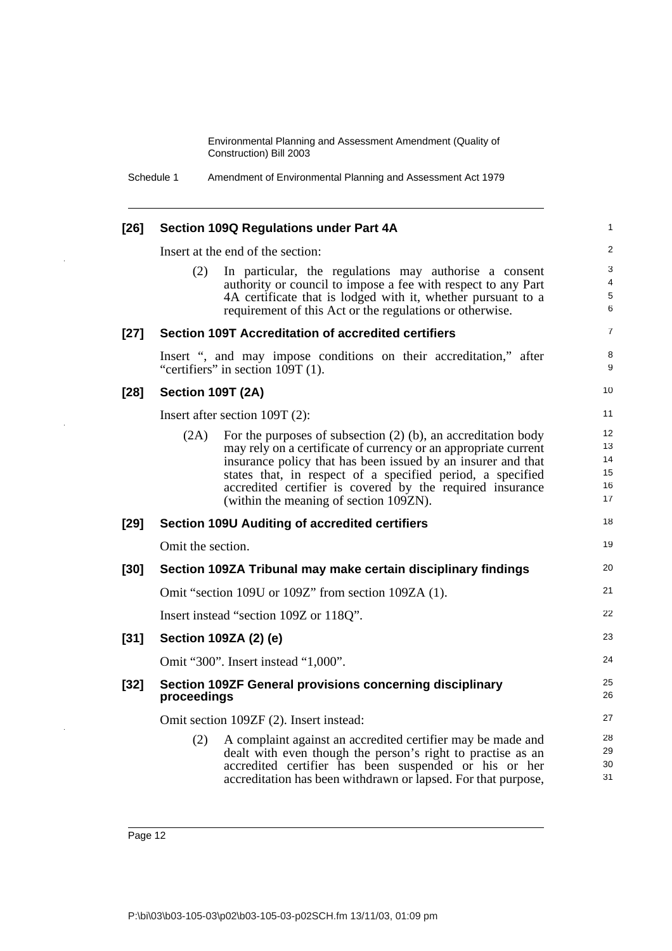Schedule 1 Amendment of Environmental Planning and Assessment Act 1979

| $[26]$ | Section 109Q Regulations under Part 4A                                                                                                                                                                                                                                                                                                                                          | 1                                |
|--------|---------------------------------------------------------------------------------------------------------------------------------------------------------------------------------------------------------------------------------------------------------------------------------------------------------------------------------------------------------------------------------|----------------------------------|
|        | Insert at the end of the section:                                                                                                                                                                                                                                                                                                                                               | $\overline{c}$                   |
|        | In particular, the regulations may authorise a consent<br>(2)<br>authority or council to impose a fee with respect to any Part<br>4A certificate that is lodged with it, whether pursuant to a<br>requirement of this Act or the regulations or otherwise.                                                                                                                      | 3<br>4<br>5<br>6                 |
| $[27]$ | <b>Section 109T Accreditation of accredited certifiers</b>                                                                                                                                                                                                                                                                                                                      | 7                                |
|        | Insert ", and may impose conditions on their accreditation," after<br>"certifiers" in section $109T(1)$ .                                                                                                                                                                                                                                                                       | 8<br>9                           |
| $[28]$ | Section 109T (2A)                                                                                                                                                                                                                                                                                                                                                               | 10                               |
|        | Insert after section 109T (2):                                                                                                                                                                                                                                                                                                                                                  | 11                               |
|        | For the purposes of subsection $(2)$ (b), an accreditation body<br>(2A)<br>may rely on a certificate of currency or an appropriate current<br>insurance policy that has been issued by an insurer and that<br>states that, in respect of a specified period, a specified<br>accredited certifier is covered by the required insurance<br>(within the meaning of section 109ZN). | 12<br>13<br>14<br>15<br>16<br>17 |
| $[29]$ | <b>Section 109U Auditing of accredited certifiers</b>                                                                                                                                                                                                                                                                                                                           | 18                               |
|        | Omit the section.                                                                                                                                                                                                                                                                                                                                                               | 19                               |
| $[30]$ | Section 109ZA Tribunal may make certain disciplinary findings                                                                                                                                                                                                                                                                                                                   | 20                               |
|        | Omit "section 109U or 109Z" from section 109ZA (1).                                                                                                                                                                                                                                                                                                                             | 21                               |
|        | Insert instead "section 109Z or 118Q".                                                                                                                                                                                                                                                                                                                                          | 22                               |
| $[31]$ | Section 109ZA (2) (e)                                                                                                                                                                                                                                                                                                                                                           | 23                               |
|        | Omit "300". Insert instead "1,000".                                                                                                                                                                                                                                                                                                                                             | 24                               |
| $[32]$ | Section 109ZF General provisions concerning disciplinary<br>proceedings                                                                                                                                                                                                                                                                                                         | 25<br>26                         |
|        | Omit section 109ZF (2). Insert instead:                                                                                                                                                                                                                                                                                                                                         | 27                               |
|        | A complaint against an accredited certifier may be made and<br>(2)<br>dealt with even though the person's right to practise as an<br>accredited certifier has been suspended or his or her<br>accreditation has been withdrawn or lapsed. For that purpose,                                                                                                                     | 28<br>29<br>30<br>31             |
|        |                                                                                                                                                                                                                                                                                                                                                                                 |                                  |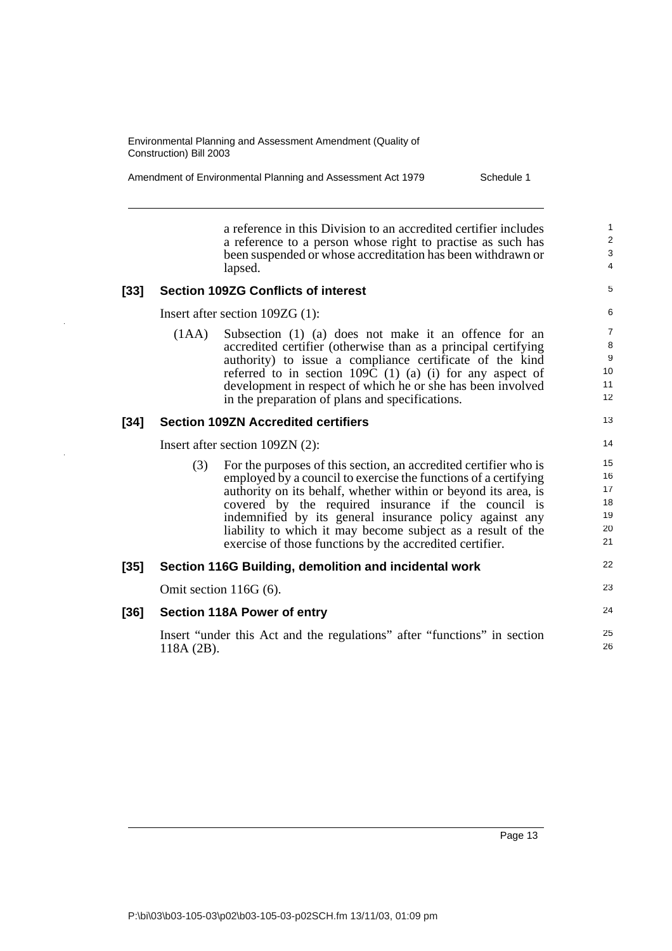Amendment of Environmental Planning and Assessment Act 1979 Schedule 1

22

23 24

25 26

a reference in this Division to an accredited certifier includes a reference to a person whose right to practise as such has been suspended or whose accreditation has been withdrawn or lapsed.

### **[33] Section 109ZG Conflicts of interest**

Insert after section 109ZG (1):

(1AA) Subsection (1) (a) does not make it an offence for an accredited certifier (otherwise than as a principal certifying authority) to issue a compliance certificate of the kind referred to in section  $109\hat{C}$  (1) (a) (i) for any aspect of development in respect of which he or she has been involved in the preparation of plans and specifications.

## **[34] Section 109ZN Accredited certifiers**

Insert after section 109ZN (2):

(3) For the purposes of this section, an accredited certifier who is employed by a council to exercise the functions of a certifying authority on its behalf, whether within or beyond its area, is covered by the required insurance if the council is indemnified by its general insurance policy against any liability to which it may become subject as a result of the exercise of those functions by the accredited certifier.

## **[35] Section 116G Building, demolition and incidental work**

Omit section 116G (6).

### **[36] Section 118A Power of entry**

Insert "under this Act and the regulations" after "functions" in section 118A (2B).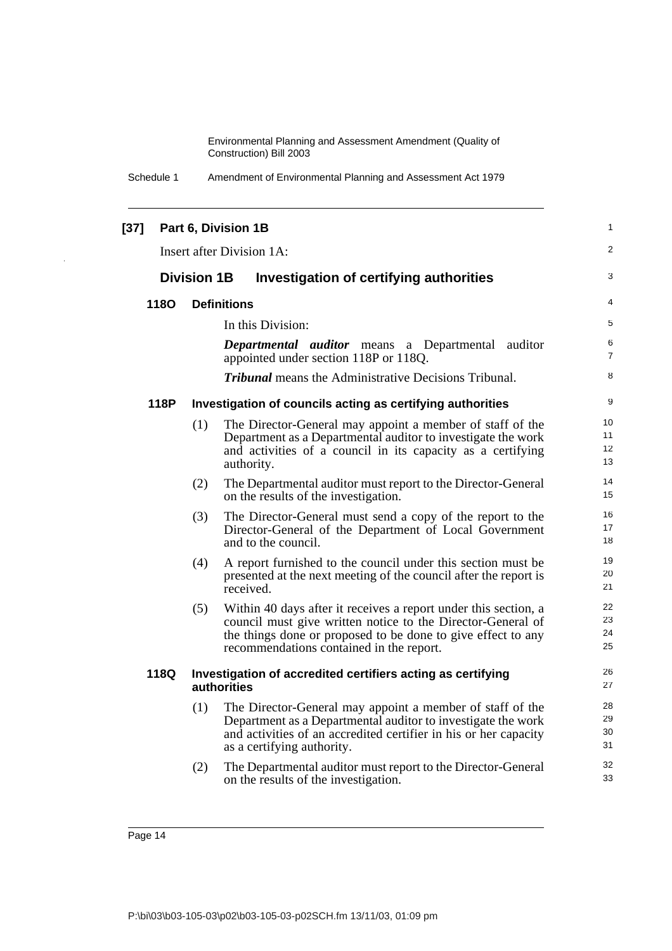Schedule 1 Amendment of Environmental Planning and Assessment Act 1979

| $[37]$      | Part 6, Division 1B              |                                                                                                                                                                                                                                            | 1                    |
|-------------|----------------------------------|--------------------------------------------------------------------------------------------------------------------------------------------------------------------------------------------------------------------------------------------|----------------------|
|             | <b>Insert after Division 1A:</b> |                                                                                                                                                                                                                                            | 2                    |
|             | <b>Division 1B</b>               | <b>Investigation of certifying authorities</b>                                                                                                                                                                                             | 3                    |
| <b>1180</b> | <b>Definitions</b>               |                                                                                                                                                                                                                                            | 4                    |
|             |                                  | In this Division:                                                                                                                                                                                                                          | 5                    |
|             |                                  | <b>Departmental auditor</b> means a Departmental auditor<br>appointed under section 118P or 118Q.                                                                                                                                          | 6<br>$\overline{7}$  |
|             |                                  | <b>Tribunal</b> means the Administrative Decisions Tribunal.                                                                                                                                                                               | 8                    |
| 118P        |                                  | Investigation of councils acting as certifying authorities                                                                                                                                                                                 | 9                    |
|             | (1)                              | The Director-General may appoint a member of staff of the<br>Department as a Departmental auditor to investigate the work<br>and activities of a council in its capacity as a certifying<br>authority.                                     | 10<br>11<br>12<br>13 |
|             | (2)                              | The Departmental auditor must report to the Director-General<br>on the results of the investigation.                                                                                                                                       | 14<br>15             |
|             | (3)                              | The Director-General must send a copy of the report to the<br>Director-General of the Department of Local Government<br>and to the council.                                                                                                | 16<br>17<br>18       |
|             | (4)<br>received.                 | A report furnished to the council under this section must be<br>presented at the next meeting of the council after the report is                                                                                                           | 19<br>20<br>21       |
|             | (5)                              | Within 40 days after it receives a report under this section, a<br>council must give written notice to the Director-General of<br>the things done or proposed to be done to give effect to any<br>recommendations contained in the report. | 22<br>23<br>24<br>25 |
| 118Q        | authorities                      | Investigation of accredited certifiers acting as certifying                                                                                                                                                                                | 26<br>27             |
|             | (1)                              | The Director-General may appoint a member of staff of the<br>Department as a Departmental auditor to investigate the work<br>and activities of an accredited certifier in his or her capacity<br>as a certifying authority.                | 28<br>29<br>30<br>31 |
|             | (2)                              | The Departmental auditor must report to the Director-General<br>on the results of the investigation.                                                                                                                                       | 32<br>33             |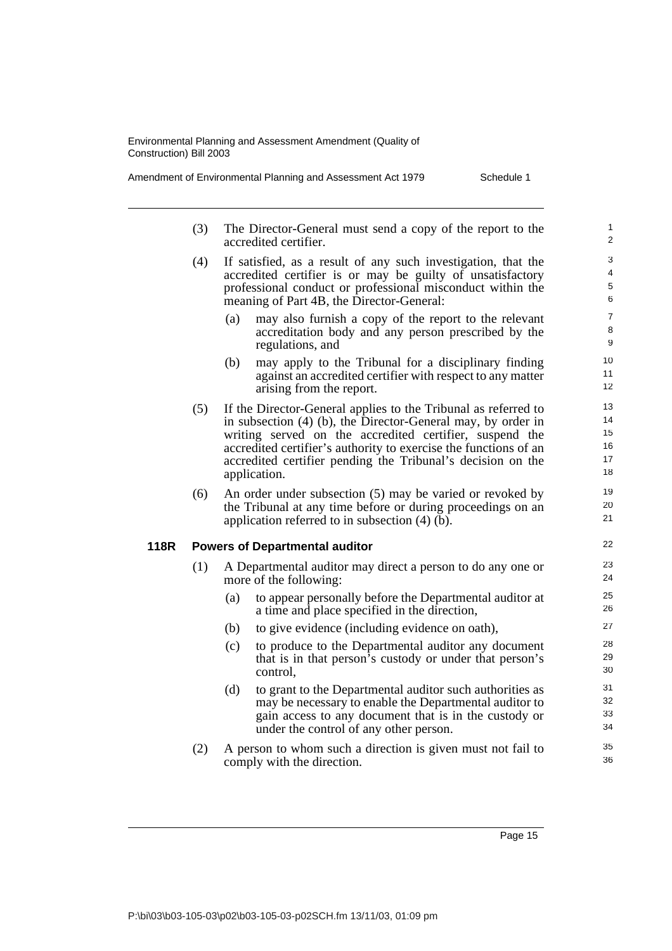Amendment of Environmental Planning and Assessment Act 1979 Schedule 1

- (3) The Director-General must send a copy of the report to the accredited certifier.
- (4) If satisfied, as a result of any such investigation, that the accredited certifier is or may be guilty of unsatisfactory professional conduct or professional misconduct within the meaning of Part 4B, the Director-General:
	- (a) may also furnish a copy of the report to the relevant accreditation body and any person prescribed by the regulations, and
	- (b) may apply to the Tribunal for a disciplinary finding against an accredited certifier with respect to any matter arising from the report.
- (5) If the Director-General applies to the Tribunal as referred to in subsection (4) (b), the Director-General may, by order in writing served on the accredited certifier, suspend the accredited certifier's authority to exercise the functions of an accredited certifier pending the Tribunal's decision on the application.
- (6) An order under subsection (5) may be varied or revoked by the Tribunal at any time before or during proceedings on an application referred to in subsection  $(4)$   $(b)$ .

#### **118R Powers of Departmental auditor**

- (1) A Departmental auditor may direct a person to do any one or more of the following:
	- (a) to appear personally before the Departmental auditor at a time and place specified in the direction,
	- (b) to give evidence (including evidence on oath),
	- (c) to produce to the Departmental auditor any document that is in that person's custody or under that person's control,
	- (d) to grant to the Departmental auditor such authorities as may be necessary to enable the Departmental auditor to gain access to any document that is in the custody or under the control of any other person.
- (2) A person to whom such a direction is given must not fail to comply with the direction.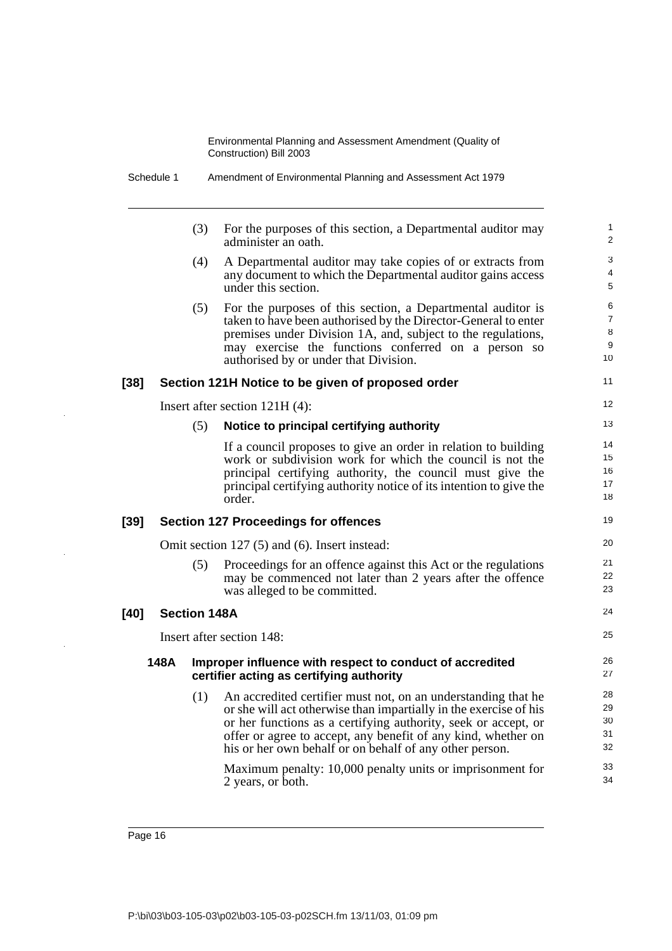|        | Schedule 1 |                     | Amendment of Environmental Planning and Assessment Act 1979                                                                                                                                                                                                                                                                      |                            |
|--------|------------|---------------------|----------------------------------------------------------------------------------------------------------------------------------------------------------------------------------------------------------------------------------------------------------------------------------------------------------------------------------|----------------------------|
|        |            | (3)                 | For the purposes of this section, a Departmental auditor may<br>administer an oath.                                                                                                                                                                                                                                              |                            |
|        |            | (4)                 | A Departmental auditor may take copies of or extracts from<br>any document to which the Departmental auditor gains access<br>under this section.                                                                                                                                                                                 |                            |
|        |            | (5)                 | For the purposes of this section, a Departmental auditor is<br>taken to have been authorised by the Director-General to enter<br>premises under Division 1A, and, subject to the regulations,<br>may exercise the functions conferred on a person so<br>authorised by or under that Division.                                    |                            |
| $[38]$ |            |                     | Section 121H Notice to be given of proposed order                                                                                                                                                                                                                                                                                | 11                         |
|        |            |                     | Insert after section $121H(4)$ :                                                                                                                                                                                                                                                                                                 | 12                         |
|        |            | (5)                 | Notice to principal certifying authority                                                                                                                                                                                                                                                                                         | 13                         |
|        |            |                     | If a council proposes to give an order in relation to building<br>work or subdivision work for which the council is not the<br>principal certifying authority, the council must give the<br>principal certifying authority notice of its intention to give the<br>order.                                                         | 14<br>15<br>16<br>17<br>18 |
| [39]   |            |                     | <b>Section 127 Proceedings for offences</b>                                                                                                                                                                                                                                                                                      | 19                         |
|        |            |                     | Omit section 127 (5) and (6). Insert instead:                                                                                                                                                                                                                                                                                    | 20                         |
|        |            | (5)                 | Proceedings for an offence against this Act or the regulations<br>may be commenced not later than 2 years after the offence<br>was alleged to be committed.                                                                                                                                                                      | 21<br>22<br>23             |
| $[40]$ |            | <b>Section 148A</b> |                                                                                                                                                                                                                                                                                                                                  | 24                         |
|        |            |                     | Insert after section 148:                                                                                                                                                                                                                                                                                                        | 25                         |
|        | 148A       |                     | Improper influence with respect to conduct of accredited<br>certifier acting as certifying authority                                                                                                                                                                                                                             | 26<br>27                   |
|        |            | (1)                 | An accredited certifier must not, on an understanding that he<br>or she will act otherwise than impartially in the exercise of his<br>or her functions as a certifying authority, seek or accept, or<br>offer or agree to accept, any benefit of any kind, whether on<br>his or her own behalf or on behalf of any other person. | 28<br>29<br>30<br>31<br>32 |
|        |            |                     | Maximum penalty: 10,000 penalty units or imprisonment for<br>2 years, or both.                                                                                                                                                                                                                                                   | 33<br>34                   |

J.

 $\ddot{\phantom{a}}$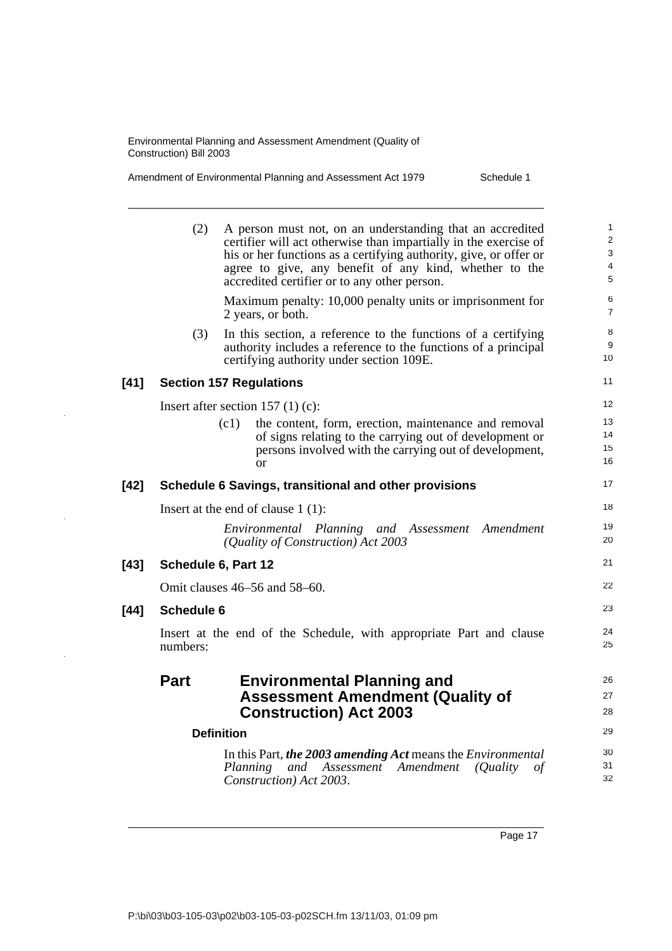$\overline{a}$ 

 $\bar{z}$ 

 $\bar{z}$ 

Schedule 1

| his or her functions as a certifying authority, give, or offer or<br>agree to give, any benefit of any kind, whether to the<br>accredited certifier or to any other person.<br>Maximum penalty: 10,000 penalty units or imprisonment for<br>2 years, or both. | 4<br>5<br>6<br>$\overline{7}$<br>8<br>9<br>10<br>11 |
|---------------------------------------------------------------------------------------------------------------------------------------------------------------------------------------------------------------------------------------------------------------|-----------------------------------------------------|
|                                                                                                                                                                                                                                                               |                                                     |
|                                                                                                                                                                                                                                                               |                                                     |
| In this section, a reference to the functions of a certifying<br>(3)<br>authority includes a reference to the functions of a principal<br>certifying authority under section 109E.                                                                            |                                                     |
| <b>Section 157 Regulations</b><br>[41]                                                                                                                                                                                                                        |                                                     |
| Insert after section 157 $(1)$ $(c)$ :                                                                                                                                                                                                                        | 12                                                  |
| (c1)<br>the content, form, erection, maintenance and removal                                                                                                                                                                                                  | 13<br>14                                            |
| of signs relating to the carrying out of development or<br>persons involved with the carrying out of development,                                                                                                                                             | 15                                                  |
| $\alpha$                                                                                                                                                                                                                                                      | 16                                                  |
| $[42]$<br>Schedule 6 Savings, transitional and other provisions                                                                                                                                                                                               | 17                                                  |
| Insert at the end of clause $1(1)$ :                                                                                                                                                                                                                          | 18                                                  |
| Environmental Planning and Assessment Amendment<br>(Quality of Construction) Act 2003                                                                                                                                                                         | 19<br>20                                            |
| Schedule 6, Part 12<br>$[43]$                                                                                                                                                                                                                                 | 21                                                  |
| Omit clauses 46–56 and 58–60.                                                                                                                                                                                                                                 | 22                                                  |
| <b>Schedule 6</b><br>$[44]$                                                                                                                                                                                                                                   | 23                                                  |
| Insert at the end of the Schedule, with appropriate Part and clause<br>numbers:                                                                                                                                                                               | 24<br>25                                            |
| <b>Part</b><br><b>Environmental Planning and</b>                                                                                                                                                                                                              | 26                                                  |
| <b>Assessment Amendment (Quality of</b>                                                                                                                                                                                                                       | 27                                                  |
| <b>Construction) Act 2003</b>                                                                                                                                                                                                                                 | 28                                                  |
| <b>Definition</b>                                                                                                                                                                                                                                             | 29                                                  |
| In this Part, the 2003 amending Act means the Environmental<br>Planning and Assessment<br>Amendment<br>Construction) Act 2003.                                                                                                                                | 30<br>31<br><i>(Ouality)</i><br>οf<br>32            |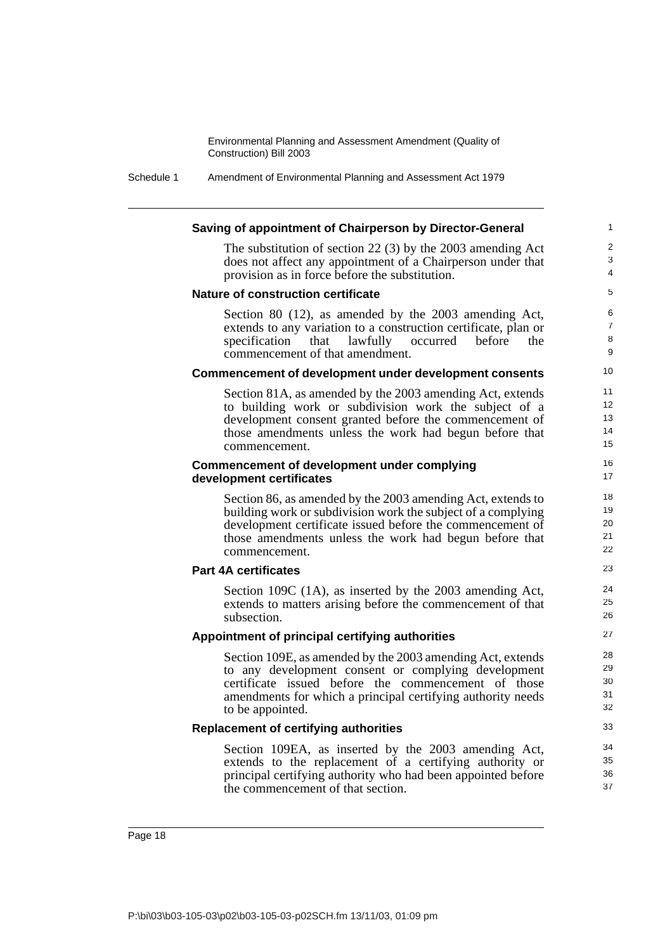Schedule 1 Amendment of Environmental Planning and Assessment Act 1979

| Saving of appointment of Chairperson by Director-General                                                                    |  |
|-----------------------------------------------------------------------------------------------------------------------------|--|
| The substitution of section 22 $(3)$ by the 2003 amending Act                                                               |  |
| does not affect any appointment of a Chairperson under that                                                                 |  |
| provision as in force before the substitution.                                                                              |  |
| <b>Nature of construction certificate</b>                                                                                   |  |
| Section 80 (12), as amended by the 2003 amending Act,                                                                       |  |
| extends to any variation to a construction certificate, plan or                                                             |  |
| specification<br>lawfully<br>before<br>that<br>occurred<br>the                                                              |  |
| commencement of that amendment.                                                                                             |  |
| <b>Commencement of development under development consents</b>                                                               |  |
| Section 81A, as amended by the 2003 amending Act, extends                                                                   |  |
| to building work or subdivision work the subject of a                                                                       |  |
| development consent granted before the commencement of                                                                      |  |
| those amendments unless the work had begun before that<br>commencement.                                                     |  |
|                                                                                                                             |  |
| <b>Commencement of development under complying</b><br>development certificates                                              |  |
|                                                                                                                             |  |
| Section 86, as amended by the 2003 amending Act, extends to<br>building work or subdivision work the subject of a complying |  |
| development certificate issued before the commencement of                                                                   |  |
| those amendments unless the work had begun before that                                                                      |  |
| commencement.                                                                                                               |  |
| <b>Part 4A certificates</b>                                                                                                 |  |
| Section 109C (1A), as inserted by the 2003 amending Act,                                                                    |  |
| extends to matters arising before the commencement of that                                                                  |  |
| subsection.                                                                                                                 |  |
| Appointment of principal certifying authorities                                                                             |  |
| Section 109E, as amended by the 2003 amending Act, extends                                                                  |  |
| to any development consent or complying development                                                                         |  |
| certificate issued before the commencement of those                                                                         |  |
| amendments for which a principal certifying authority needs                                                                 |  |
| to be appointed.                                                                                                            |  |
| <b>Replacement of certifying authorities</b>                                                                                |  |
| Section 109EA, as inserted by the 2003 amending Act,                                                                        |  |
| extends to the replacement of a certifying authority or                                                                     |  |
| principal certifying authority who had been appointed before                                                                |  |
| the commencement of that section.                                                                                           |  |
|                                                                                                                             |  |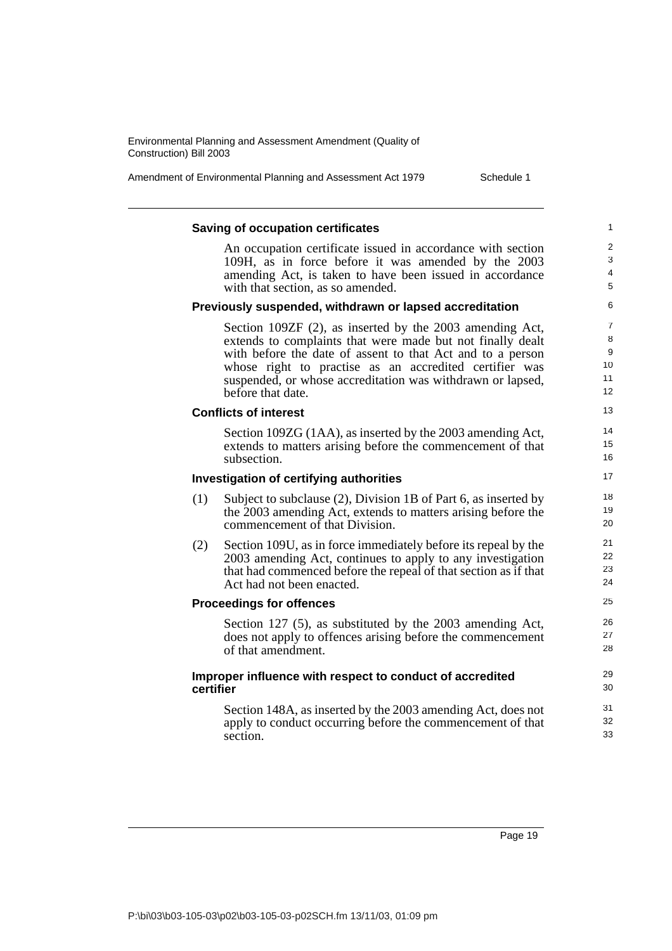Amendment of Environmental Planning and Assessment Act 1979 Schedule 1

|           | <b>Saving of occupation certificates</b>                                                                                |
|-----------|-------------------------------------------------------------------------------------------------------------------------|
|           | An occupation certificate issued in accordance with section                                                             |
|           | 109H, as in force before it was amended by the 2003<br>amending Act, is taken to have been issued in accordance         |
|           | with that section, as so amended.                                                                                       |
|           | Previously suspended, withdrawn or lapsed accreditation                                                                 |
|           | Section 109ZF (2), as inserted by the 2003 amending Act,                                                                |
|           | extends to complaints that were made but not finally dealt                                                              |
|           | with before the date of assent to that Act and to a person<br>whose right to practise as an accredited certifier was    |
|           | suspended, or whose accreditation was withdrawn or lapsed,                                                              |
|           | before that date.                                                                                                       |
|           | <b>Conflicts of interest</b>                                                                                            |
|           | Section 109ZG (1AA), as inserted by the 2003 amending Act,                                                              |
|           | extends to matters arising before the commencement of that                                                              |
|           | subsection.                                                                                                             |
|           | <b>Investigation of certifying authorities</b>                                                                          |
| (1)       | Subject to subclause (2), Division 1B of Part 6, as inserted by                                                         |
|           | the 2003 amending Act, extends to matters arising before the                                                            |
|           | commencement of that Division.                                                                                          |
| (2)       | Section 109U, as in force immediately before its repeal by the                                                          |
|           | 2003 amending Act, continues to apply to any investigation                                                              |
|           | that had commenced before the repeal of that section as if that<br>Act had not been enacted.                            |
|           | <b>Proceedings for offences</b>                                                                                         |
|           |                                                                                                                         |
|           | Section 127 (5), as substituted by the 2003 amending Act,<br>does not apply to offences arising before the commencement |
|           | of that amendment.                                                                                                      |
|           | Improper influence with respect to conduct of accredited                                                                |
| certifier |                                                                                                                         |
|           | Section 148A, as inserted by the 2003 amending Act, does not                                                            |
|           |                                                                                                                         |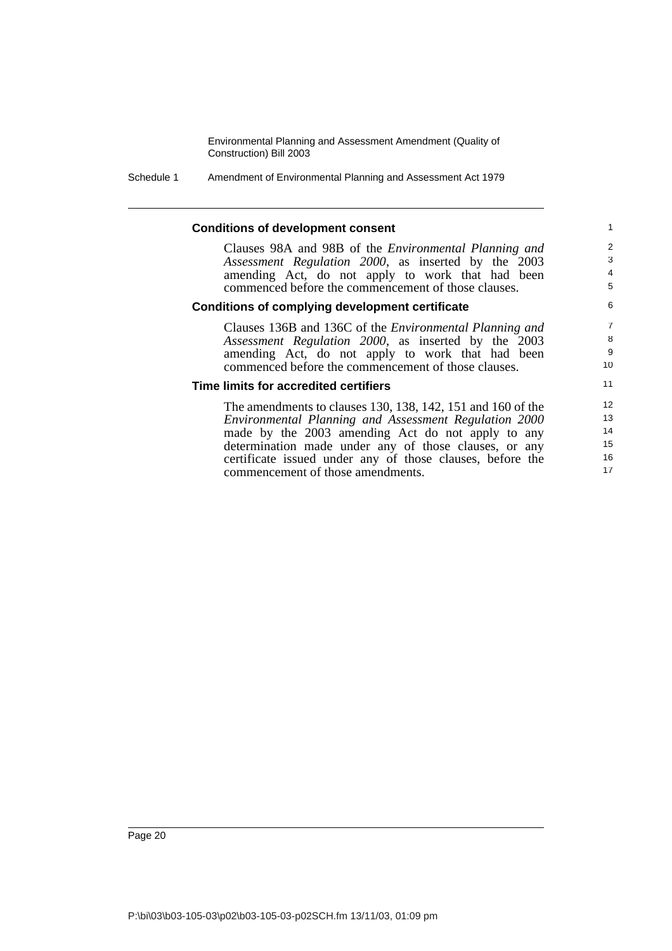Schedule 1 Amendment of Environmental Planning and Assessment Act 1979

#### **Conditions of development consent**

Clauses 98A and 98B of the *Environmental Planning and Assessment Regulation 2000*, as inserted by the 2003 amending Act, do not apply to work that had been commenced before the commencement of those clauses.

### **Conditions of complying development certificate**

Clauses 136B and 136C of the *Environmental Planning and* Assessment Regulation 2000, as inserted by the 2003 amending Act, do not apply to work that had been commenced before the commencement of those clauses.

## **Time limits for accredited certifiers**

The amendments to clauses 130, 138, 142, 151 and 160 of the *Environmental Planning and Assessment Regulation 2000* made by the 2003 amending Act do not apply to any determination made under any of those clauses, or any certificate issued under any of those clauses, before the commencement of those amendments.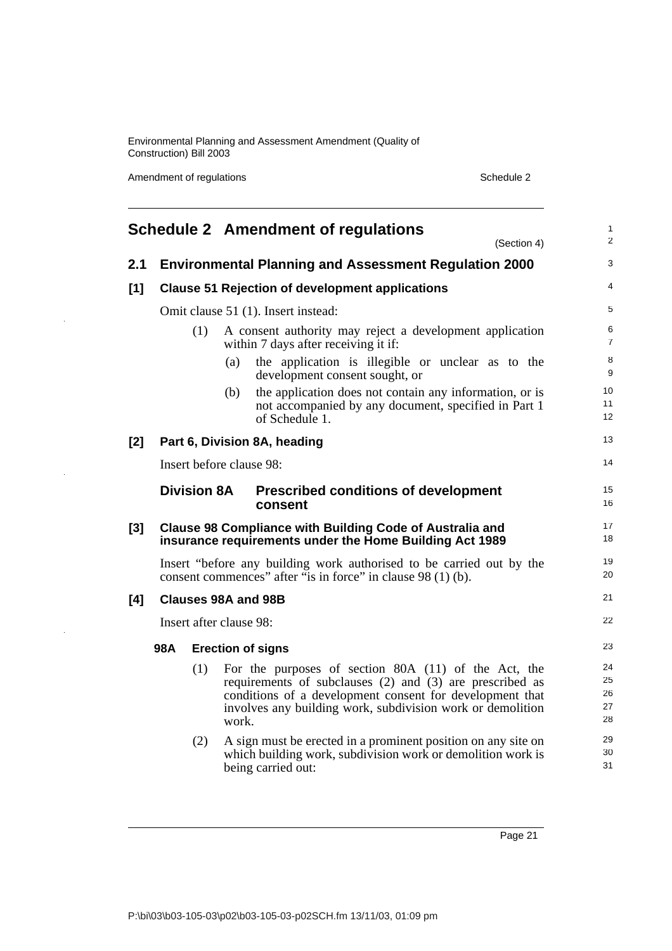Amendment of regulations **Schedule 2** Schedule 2

 $\overline{a}$ 

|       |                                                        |                    | <b>Schedule 2 Amendment of regulations</b>                                                                                                                                                                                                          | 1<br>2<br>(Section 4)      |  |  |  |
|-------|--------------------------------------------------------|--------------------|-----------------------------------------------------------------------------------------------------------------------------------------------------------------------------------------------------------------------------------------------------|----------------------------|--|--|--|
| 2.1   |                                                        |                    | <b>Environmental Planning and Assessment Regulation 2000</b>                                                                                                                                                                                        | 3                          |  |  |  |
| $[1]$ | <b>Clause 51 Rejection of development applications</b> |                    |                                                                                                                                                                                                                                                     |                            |  |  |  |
|       | Omit clause 51 (1). Insert instead:                    |                    |                                                                                                                                                                                                                                                     |                            |  |  |  |
|       |                                                        | (1)                | A consent authority may reject a development application<br>within 7 days after receiving it if:                                                                                                                                                    | 6<br>$\overline{7}$        |  |  |  |
|       |                                                        |                    | the application is illegible or unclear as to the<br>(a)<br>development consent sought, or                                                                                                                                                          | 8<br>9                     |  |  |  |
|       |                                                        |                    | the application does not contain any information, or is<br>(b)<br>not accompanied by any document, specified in Part 1<br>of Schedule 1.                                                                                                            | 10<br>11<br>12             |  |  |  |
| $[2]$ |                                                        |                    | Part 6, Division 8A, heading                                                                                                                                                                                                                        | 13                         |  |  |  |
|       |                                                        |                    | Insert before clause 98:                                                                                                                                                                                                                            | 14                         |  |  |  |
|       |                                                        | <b>Division 8A</b> | <b>Prescribed conditions of development</b><br>consent                                                                                                                                                                                              | 15<br>16                   |  |  |  |
| [3]   |                                                        |                    | <b>Clause 98 Compliance with Building Code of Australia and</b><br>insurance requirements under the Home Building Act 1989                                                                                                                          | 17<br>18                   |  |  |  |
|       |                                                        |                    | Insert "before any building work authorised to be carried out by the<br>consent commences" after "is in force" in clause 98 (1) (b).                                                                                                                | 19<br>20                   |  |  |  |
| [4]   |                                                        |                    | Clauses 98A and 98B                                                                                                                                                                                                                                 | 21                         |  |  |  |
|       |                                                        |                    | Insert after clause 98:                                                                                                                                                                                                                             | 22                         |  |  |  |
|       | 98A                                                    |                    | <b>Erection of signs</b>                                                                                                                                                                                                                            | 23                         |  |  |  |
|       |                                                        | (1)                | For the purposes of section 80A (11) of the Act, the<br>requirements of subclauses (2) and (3) are prescribed as<br>conditions of a development consent for development that<br>involves any building work, subdivision work or demolition<br>work. | 24<br>25<br>26<br>27<br>28 |  |  |  |
|       |                                                        | (2)                | A sign must be erected in a prominent position on any site on<br>which building work, subdivision work or demolition work is<br>being carried out:                                                                                                  | 29<br>30<br>31             |  |  |  |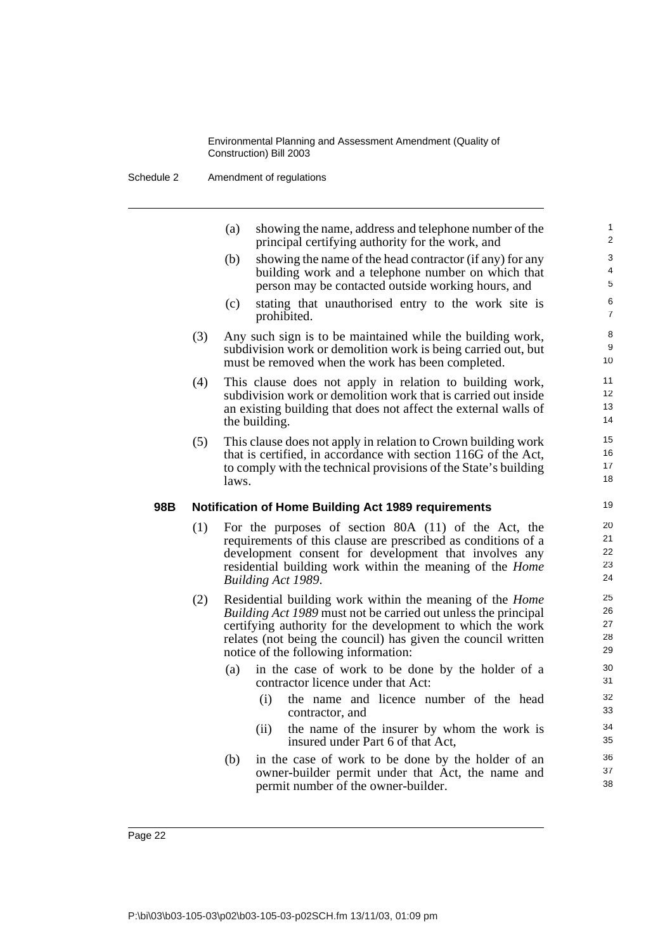Schedule 2 Amendment of regulations

(a) showing the name, address and telephone number of the principal certifying authority for the work, and

- (b) showing the name of the head contractor (if any) for any building work and a telephone number on which that person may be contacted outside working hours, and
- (c) stating that unauthorised entry to the work site is prohibited.
- (3) Any such sign is to be maintained while the building work, subdivision work or demolition work is being carried out, but must be removed when the work has been completed.
- (4) This clause does not apply in relation to building work, subdivision work or demolition work that is carried out inside an existing building that does not affect the external walls of the building.
- (5) This clause does not apply in relation to Crown building work that is certified, in accordance with section 116G of the Act, to comply with the technical provisions of the State's building laws.

### **98B Notification of Home Building Act 1989 requirements**

- (1) For the purposes of section 80A (11) of the Act, the requirements of this clause are prescribed as conditions of a development consent for development that involves any residential building work within the meaning of the *Home Building Act 1989*.
- (2) Residential building work within the meaning of the *Home Building Act 1989* must not be carried out unless the principal certifying authority for the development to which the work relates (not being the council) has given the council written notice of the following information:
	- (a) in the case of work to be done by the holder of a contractor licence under that Act:
		- (i) the name and licence number of the head contractor, and
		- (ii) the name of the insurer by whom the work is insured under Part 6 of that Act,
	- (b) in the case of work to be done by the holder of an owner-builder permit under that Act, the name and permit number of the owner-builder.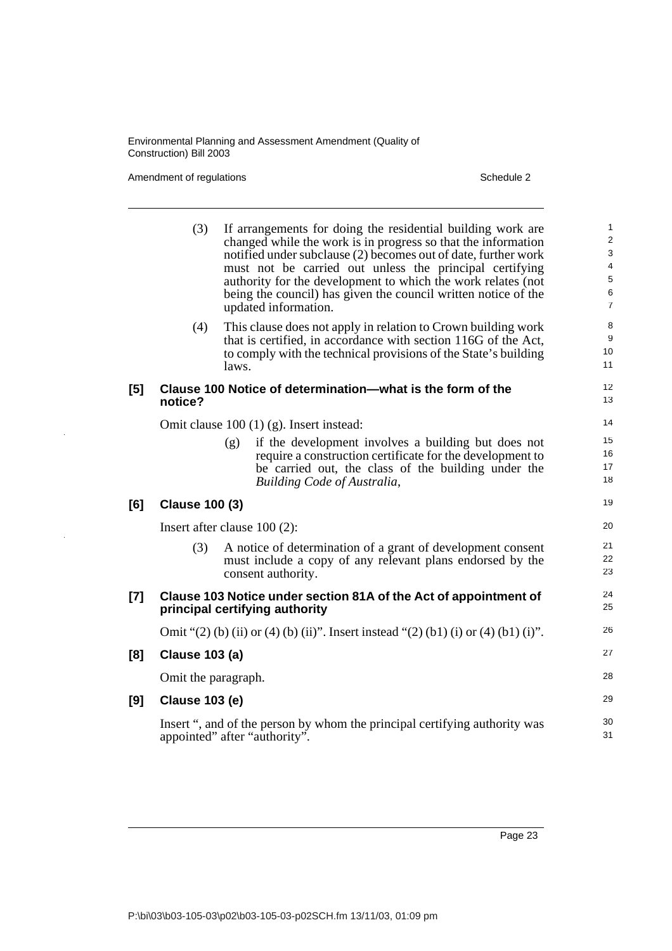Amendment of regulations **Schedule 2** Schedule 2

|     | (3)                   | If arrangements for doing the residential building work are<br>changed while the work is in progress so that the information<br>notified under subclause (2) becomes out of date, further work<br>must not be carried out unless the principal certifying<br>authority for the development to which the work relates (not<br>being the council) has given the council written notice of the<br>updated information. | $\mathbf{1}$<br>$\overline{2}$<br>$\mathbf{3}$<br>$\overline{4}$<br>$\sqrt{5}$<br>$\,6$<br>$\overline{7}$ |
|-----|-----------------------|---------------------------------------------------------------------------------------------------------------------------------------------------------------------------------------------------------------------------------------------------------------------------------------------------------------------------------------------------------------------------------------------------------------------|-----------------------------------------------------------------------------------------------------------|
|     | (4)                   | This clause does not apply in relation to Crown building work<br>that is certified, in accordance with section 116G of the Act,<br>to comply with the technical provisions of the State's building<br>laws.                                                                                                                                                                                                         | 8<br>$\boldsymbol{9}$<br>10<br>11                                                                         |
| [5] | notice?               | Clause 100 Notice of determination—what is the form of the                                                                                                                                                                                                                                                                                                                                                          | 12<br>13                                                                                                  |
|     |                       | Omit clause $100(1)(g)$ . Insert instead:                                                                                                                                                                                                                                                                                                                                                                           | 14                                                                                                        |
|     |                       | if the development involves a building but does not<br>(g)<br>require a construction certificate for the development to<br>be carried out, the class of the building under the<br>Building Code of Australia,                                                                                                                                                                                                       | 15<br>16<br>17<br>18                                                                                      |
| [6] | <b>Clause 100 (3)</b> |                                                                                                                                                                                                                                                                                                                                                                                                                     | 19                                                                                                        |
|     |                       | Insert after clause $100(2)$ :                                                                                                                                                                                                                                                                                                                                                                                      | 20                                                                                                        |
|     | (3)                   | A notice of determination of a grant of development consent<br>must include a copy of any relevant plans endorsed by the<br>consent authority.                                                                                                                                                                                                                                                                      | 21<br>22<br>23                                                                                            |
| [7] |                       | Clause 103 Notice under section 81A of the Act of appointment of<br>principal certifying authority                                                                                                                                                                                                                                                                                                                  | 24<br>25                                                                                                  |
|     |                       | Omit "(2) (b) (ii) or (4) (b) (ii)". Insert instead "(2) (b1) (i) or (4) (b1) (i)".                                                                                                                                                                                                                                                                                                                                 | 26                                                                                                        |
| [8] | <b>Clause 103 (a)</b> |                                                                                                                                                                                                                                                                                                                                                                                                                     | 27                                                                                                        |
|     | Omit the paragraph.   |                                                                                                                                                                                                                                                                                                                                                                                                                     | 28                                                                                                        |
| [9] | <b>Clause 103 (e)</b> |                                                                                                                                                                                                                                                                                                                                                                                                                     | 29                                                                                                        |
|     |                       | Insert ", and of the person by whom the principal certifying authority was<br>appointed" after "authority".                                                                                                                                                                                                                                                                                                         | 30<br>31                                                                                                  |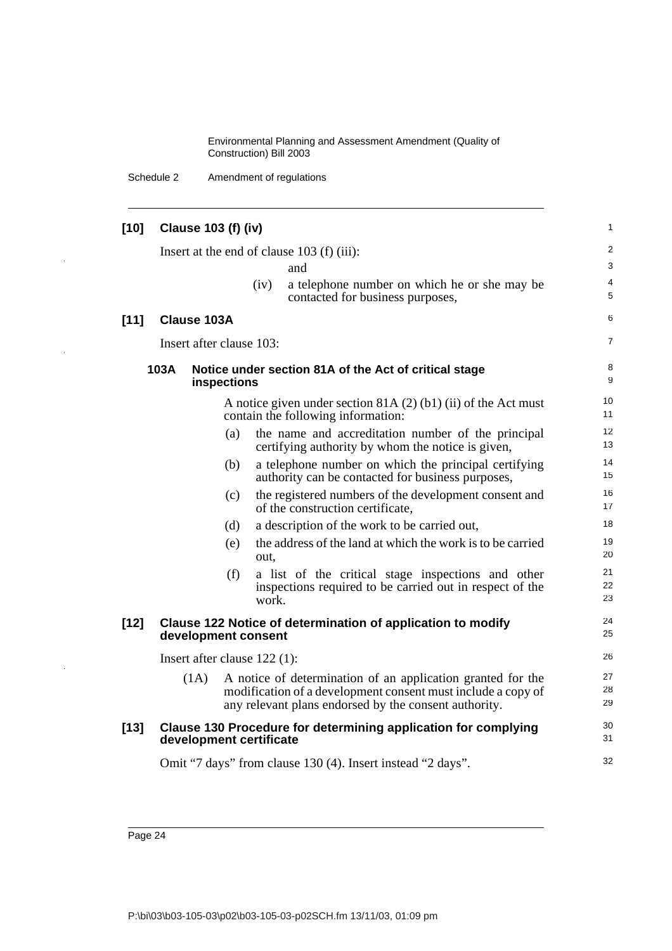Schedule 2 Amendment of regulations

| $[10]$ | Clause 103 (f) (iv)            |             |                                                                                                                                                                                      | 1              |
|--------|--------------------------------|-------------|--------------------------------------------------------------------------------------------------------------------------------------------------------------------------------------|----------------|
|        |                                |             | Insert at the end of clause $103$ (f) (iii):                                                                                                                                         | 2              |
|        |                                |             | and                                                                                                                                                                                  | 3              |
|        |                                |             | (iv)<br>a telephone number on which he or she may be                                                                                                                                 | 4              |
|        |                                |             | contacted for business purposes,                                                                                                                                                     | 5              |
| $[11]$ | <b>Clause 103A</b>             |             |                                                                                                                                                                                      | 6              |
|        | Insert after clause 103:       |             |                                                                                                                                                                                      | $\overline{7}$ |
|        | 103A                           | inspections | Notice under section 81A of the Act of critical stage                                                                                                                                | 8<br>9         |
|        |                                |             | A notice given under section $81A(2)(b1)(ii)$ of the Act must<br>contain the following information:                                                                                  | 10<br>11       |
|        |                                | (a)         | the name and accreditation number of the principal<br>certifying authority by whom the notice is given,                                                                              | 12<br>13       |
|        |                                | (b)         | a telephone number on which the principal certifying<br>authority can be contacted for business purposes,                                                                            | 14<br>15       |
|        |                                | (c)         | the registered numbers of the development consent and<br>of the construction certificate,                                                                                            | 16<br>17       |
|        |                                | (d)         | a description of the work to be carried out,                                                                                                                                         | 18             |
|        |                                | (e)         | the address of the land at which the work is to be carried<br>out,                                                                                                                   | 19<br>20       |
|        |                                | (f)         | a list of the critical stage inspections and other<br>inspections required to be carried out in respect of the<br>work.                                                              | 21<br>22<br>23 |
| $[12]$ | development consent            |             | Clause 122 Notice of determination of application to modify                                                                                                                          | 24<br>25       |
|        | Insert after clause $122$ (1): |             |                                                                                                                                                                                      | 26             |
|        | (1A)                           |             | A notice of determination of an application granted for the<br>modification of a development consent must include a copy of<br>any relevant plans endorsed by the consent authority. | 27<br>28<br>29 |
| $[13]$ | development certificate        |             | Clause 130 Procedure for determining application for complying                                                                                                                       | 30<br>31       |
|        |                                |             | Omit "7 days" from clause 130 (4). Insert instead "2 days".                                                                                                                          | 32             |
|        |                                |             |                                                                                                                                                                                      |                |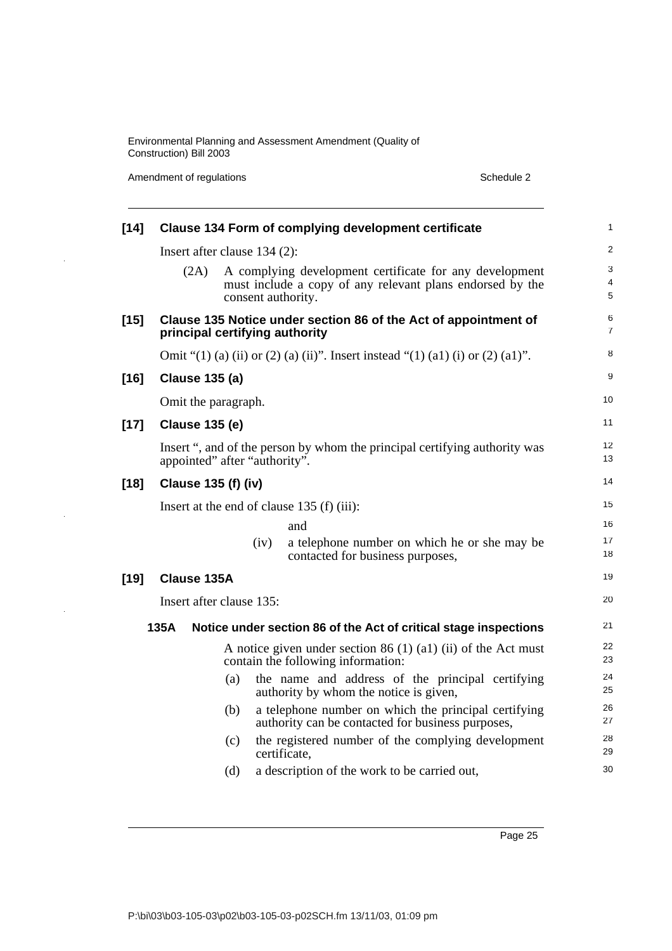Amendment of regulations **Schedule 2** Schedule 2

| [14]   |                                             |     |      | <b>Clause 134 Form of complying development certificate</b>                                                                                | 1           |  |  |
|--------|---------------------------------------------|-----|------|--------------------------------------------------------------------------------------------------------------------------------------------|-------------|--|--|
|        | Insert after clause 134 (2):                |     |      |                                                                                                                                            |             |  |  |
|        | (2A)                                        |     |      | A complying development certificate for any development<br>must include a copy of any relevant plans endorsed by the<br>consent authority. | 3<br>4<br>5 |  |  |
| $[15]$ | principal certifying authority              |     |      | Clause 135 Notice under section 86 of the Act of appointment of                                                                            | 6<br>7      |  |  |
|        |                                             |     |      | Omit "(1) (a) (ii) or (2) (a) (ii)". Insert instead "(1) (a1) (i) or (2) (a1)".                                                            | 8           |  |  |
| $[16]$ | <b>Clause 135 (a)</b>                       |     |      |                                                                                                                                            | 9           |  |  |
|        | Omit the paragraph.                         |     |      |                                                                                                                                            | 10          |  |  |
| $[17]$ | <b>Clause 135 (e)</b>                       |     |      |                                                                                                                                            | 11          |  |  |
|        | appointed" after "authority".               |     |      | Insert ", and of the person by whom the principal certifying authority was                                                                 | 12<br>13    |  |  |
| $[18]$ | Clause 135 (f) (iv)                         |     |      |                                                                                                                                            | 14          |  |  |
|        | Insert at the end of clause $135(f)(iii)$ : |     |      |                                                                                                                                            |             |  |  |
|        |                                             |     |      | and                                                                                                                                        | 16          |  |  |
|        |                                             |     | (iv) | a telephone number on which he or she may be<br>contacted for business purposes,                                                           | 17<br>18    |  |  |
| $[19]$ | <b>Clause 135A</b>                          |     |      |                                                                                                                                            | 19          |  |  |
|        | Insert after clause 135:                    |     |      |                                                                                                                                            | 20          |  |  |
|        | 135A                                        |     |      | Notice under section 86 of the Act of critical stage inspections                                                                           | 21          |  |  |
|        |                                             |     |      | A notice given under section 86 $(1)$ $(1)$ $(ii)$ of the Act must<br>contain the following information:                                   | 22<br>23    |  |  |
|        |                                             | (a) |      | the name and address of the principal certifying<br>authority by whom the notice is given,                                                 | 24<br>25    |  |  |
|        |                                             | (b) |      | a telephone number on which the principal certifying<br>authority can be contacted for business purposes,                                  | 26<br>27    |  |  |
|        |                                             | (c) |      | the registered number of the complying development<br>certificate,                                                                         | 28<br>29    |  |  |
|        |                                             | (d) |      | a description of the work to be carried out,                                                                                               | 30          |  |  |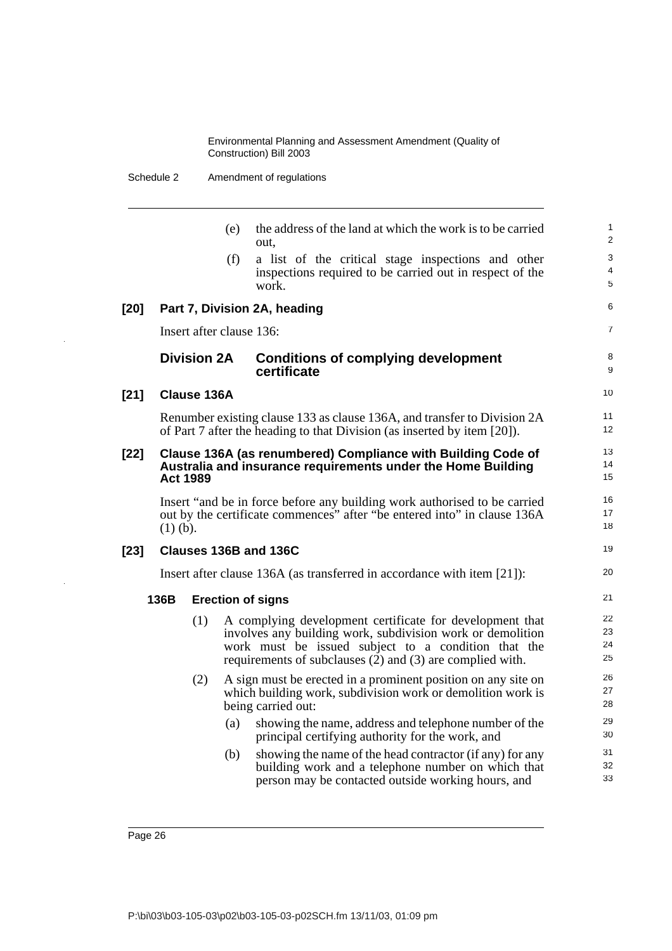Schedule 2 Amendment of regulations

|      |            |                    | (e) | the address of the land at which the work is to be carried<br>out.                                                                                                                                                                         |                      |
|------|------------|--------------------|-----|--------------------------------------------------------------------------------------------------------------------------------------------------------------------------------------------------------------------------------------------|----------------------|
|      |            |                    | (f) | a list of the critical stage inspections and other<br>inspections required to be carried out in respect of the<br>work.                                                                                                                    |                      |
| [20] |            |                    |     | Part 7, Division 2A, heading                                                                                                                                                                                                               |                      |
|      |            |                    |     | Insert after clause 136:                                                                                                                                                                                                                   |                      |
|      |            | <b>Division 2A</b> |     | <b>Conditions of complying development</b><br>certificate                                                                                                                                                                                  |                      |
| [21] |            | <b>Clause 136A</b> |     |                                                                                                                                                                                                                                            | 10                   |
|      |            |                    |     | Renumber existing clause 133 as clause 136A, and transfer to Division 2A<br>of Part 7 after the heading to that Division (as inserted by item [20]).                                                                                       | 11<br>12             |
| [22] |            | <b>Act 1989</b>    |     | Clause 136A (as renumbered) Compliance with Building Code of<br>Australia and insurance requirements under the Home Building                                                                                                               | 13<br>14<br>15       |
|      | $(1)$ (b). |                    |     | Insert "and be in force before any building work authorised to be carried<br>out by the certificate commences" after "be entered into" in clause 136A                                                                                      | 16<br>17<br>18       |
| [23] |            |                    |     | Clauses 136B and 136C                                                                                                                                                                                                                      | 19                   |
|      |            |                    |     | Insert after clause 136A (as transferred in accordance with item [21]):                                                                                                                                                                    | 20                   |
|      | 136B       |                    |     | <b>Erection of signs</b>                                                                                                                                                                                                                   | 21                   |
|      |            | (1)                |     | A complying development certificate for development that<br>involves any building work, subdivision work or demolition<br>work must be issued subject to a condition that the<br>requirements of subclauses (2) and (3) are complied with. | 22<br>23<br>24<br>25 |
|      |            | (2)                |     | A sign must be erected in a prominent position on any site on<br>which building work, subdivision work or demolition work is<br>being carried out:                                                                                         | 26<br>27<br>28       |
|      |            |                    | (a) | showing the name, address and telephone number of the<br>principal certifying authority for the work, and                                                                                                                                  | 29<br>30             |
|      |            |                    | (b) | showing the name of the head contractor (if any) for any<br>building work and a telephone number on which that<br>person may be contacted outside working hours, and                                                                       | 31<br>32<br>33       |
|      |            |                    |     |                                                                                                                                                                                                                                            |                      |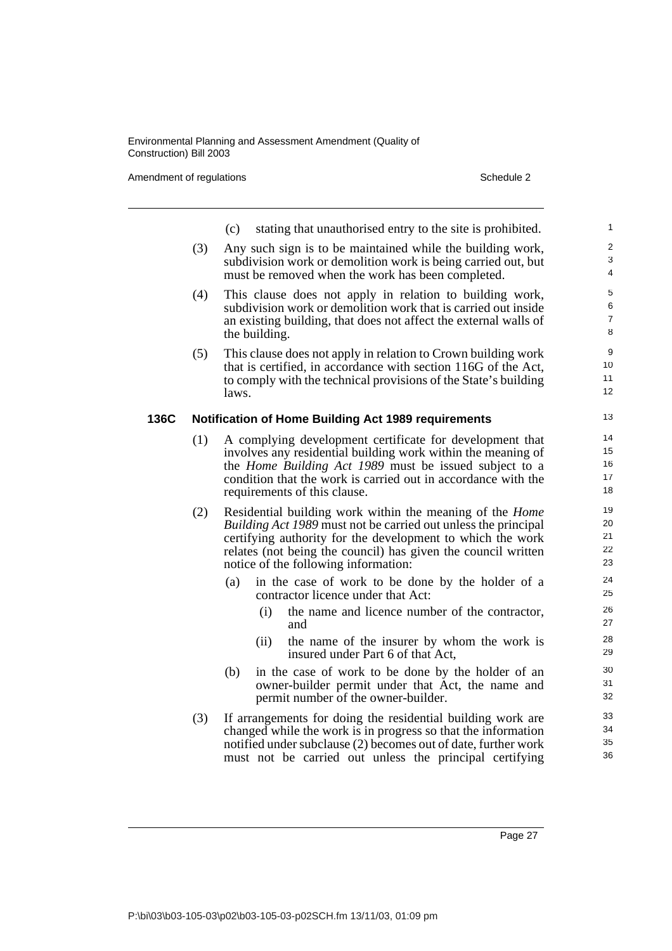Amendment of regulations **Schedule 2** Schedule 2

|      |     | stating that unauthorised entry to the site is prohibited.<br>(c)                                                                                                                                                                                                                                               | 1                             |
|------|-----|-----------------------------------------------------------------------------------------------------------------------------------------------------------------------------------------------------------------------------------------------------------------------------------------------------------------|-------------------------------|
|      | (3) | Any such sign is to be maintained while the building work,<br>subdivision work or demolition work is being carried out, but<br>must be removed when the work has been completed.                                                                                                                                | $\overline{2}$<br>3<br>4      |
|      | (4) | This clause does not apply in relation to building work,<br>subdivision work or demolition work that is carried out inside<br>an existing building, that does not affect the external walls of<br>the building.                                                                                                 | 5<br>6<br>$\overline{7}$<br>8 |
|      | (5) | This clause does not apply in relation to Crown building work<br>that is certified, in accordance with section 116G of the Act,<br>to comply with the technical provisions of the State's building<br>laws.                                                                                                     | 9<br>10<br>11<br>12           |
| 136C |     | <b>Notification of Home Building Act 1989 requirements</b>                                                                                                                                                                                                                                                      | 13                            |
|      | (1) | A complying development certificate for development that<br>involves any residential building work within the meaning of<br>the Home Building Act 1989 must be issued subject to a<br>condition that the work is carried out in accordance with the<br>requirements of this clause.                             | 14<br>15<br>16<br>17<br>18    |
|      | (2) | Residential building work within the meaning of the <i>Home</i><br><i>Building Act 1989</i> must not be carried out unless the principal<br>certifying authority for the development to which the work<br>relates (not being the council) has given the council written<br>notice of the following information: | 19<br>20<br>21<br>22<br>23    |
|      |     | in the case of work to be done by the holder of a<br>(a)<br>contractor licence under that Act:                                                                                                                                                                                                                  | 24<br>25                      |
|      |     | (i)<br>the name and licence number of the contractor,<br>and                                                                                                                                                                                                                                                    | 26<br>27                      |
|      |     | the name of the insurer by whom the work is<br>(ii)<br>insured under Part 6 of that Act,                                                                                                                                                                                                                        | 28<br>29                      |
|      |     | in the case of work to be done by the holder of an<br>(b)<br>owner-builder permit under that Act, the name and<br>permit number of the owner-builder.                                                                                                                                                           | 30<br>31<br>32                |
|      | (3) | If arrangements for doing the residential building work are<br>changed while the work is in progress so that the information<br>notified under subclause (2) becomes out of date, further work                                                                                                                  | 33<br>34<br>35                |

must not be carried out unless the principal certifying

Page 27

36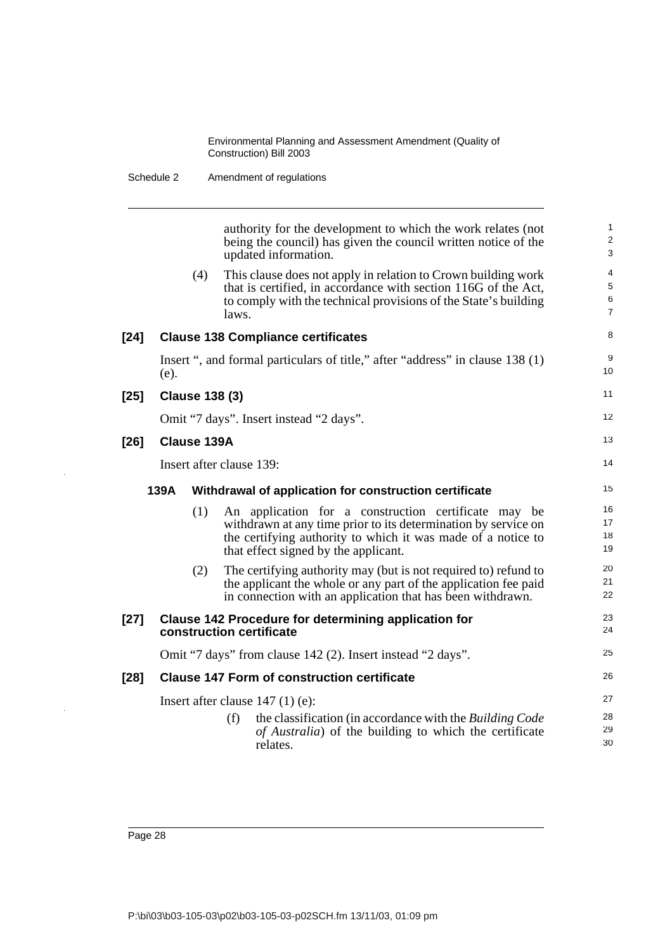Schedule 2 Amendment of regulations

|        |                                                    |     |                          | authority for the development to which the work relates (not<br>being the council) has given the council written notice of the<br>updated information.                                                                         |                      |  |
|--------|----------------------------------------------------|-----|--------------------------|--------------------------------------------------------------------------------------------------------------------------------------------------------------------------------------------------------------------------------|----------------------|--|
|        |                                                    | (4) | laws.                    | This clause does not apply in relation to Crown building work<br>that is certified, in accordance with section 116G of the Act,<br>to comply with the technical provisions of the State's building                             |                      |  |
| $[24]$ |                                                    |     |                          | <b>Clause 138 Compliance certificates</b>                                                                                                                                                                                      |                      |  |
|        | (e).                                               |     |                          | Insert ", and formal particulars of title," after "address" in clause 138 (1)                                                                                                                                                  | 9<br>10              |  |
| $[25]$ | <b>Clause 138 (3)</b>                              |     |                          |                                                                                                                                                                                                                                | 11                   |  |
|        |                                                    |     |                          | Omit "7 days". Insert instead "2 days".                                                                                                                                                                                        | 12                   |  |
| $[26]$ | <b>Clause 139A</b>                                 |     |                          |                                                                                                                                                                                                                                | 13                   |  |
|        |                                                    |     | Insert after clause 139: |                                                                                                                                                                                                                                | 14                   |  |
|        | 139A                                               |     |                          | Withdrawal of application for construction certificate                                                                                                                                                                         | 15                   |  |
|        |                                                    | (1) |                          | An application for a construction certificate may be<br>withdrawn at any time prior to its determination by service on<br>the certifying authority to which it was made of a notice to<br>that effect signed by the applicant. | 16<br>17<br>18<br>19 |  |
|        |                                                    | (2) |                          | The certifying authority may (but is not required to) refund to<br>the applicant the whole or any part of the application fee paid<br>in connection with an application that has been withdrawn.                               | 20<br>21<br>22       |  |
| $[27]$ |                                                    |     |                          | Clause 142 Procedure for determining application for<br>construction certificate                                                                                                                                               | 23<br>24             |  |
|        |                                                    |     |                          | Omit "7 days" from clause 142 (2). Insert instead "2 days".                                                                                                                                                                    | 25                   |  |
| [28]   | <b>Clause 147 Form of construction certificate</b> |     |                          |                                                                                                                                                                                                                                |                      |  |
|        |                                                    |     |                          | Insert after clause $147(1)$ (e):                                                                                                                                                                                              | 27                   |  |
|        |                                                    |     | (f)                      | the classification (in accordance with the Building Code<br>of Australia) of the building to which the certificate<br>relates.                                                                                                 | 28<br>29<br>30       |  |
|        |                                                    |     |                          |                                                                                                                                                                                                                                |                      |  |

Page 28

 $\ddot{\phantom{a}}$ 

i.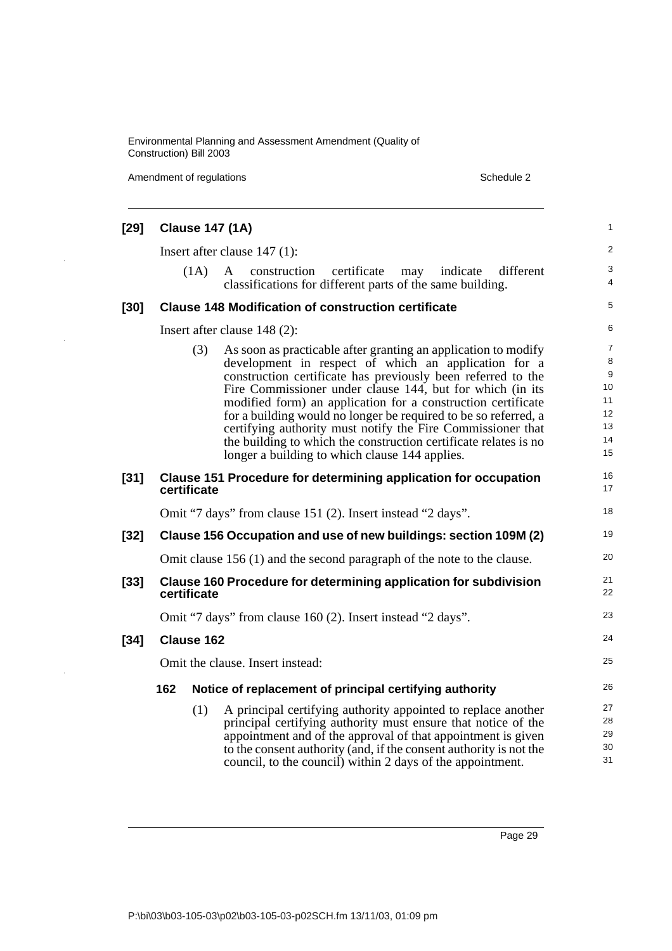Amendment of regulations **Schedule 2** Schedule 2

| [29]   | <b>Clause 147 (1A)</b> |                                                                                                                                                                                                                                                                                                                                                                                                                                                                                                                                                                                    |                                                              |  |  |  |
|--------|------------------------|------------------------------------------------------------------------------------------------------------------------------------------------------------------------------------------------------------------------------------------------------------------------------------------------------------------------------------------------------------------------------------------------------------------------------------------------------------------------------------------------------------------------------------------------------------------------------------|--------------------------------------------------------------|--|--|--|
|        |                        | Insert after clause $147(1)$ :                                                                                                                                                                                                                                                                                                                                                                                                                                                                                                                                                     | 2                                                            |  |  |  |
|        |                        | certificate<br>different<br>(1A)<br>A<br>construction<br>may<br>indicate<br>classifications for different parts of the same building.                                                                                                                                                                                                                                                                                                                                                                                                                                              | 3<br>4                                                       |  |  |  |
| $[30]$ |                        | <b>Clause 148 Modification of construction certificate</b>                                                                                                                                                                                                                                                                                                                                                                                                                                                                                                                         | 5                                                            |  |  |  |
|        |                        | Insert after clause 148 (2):                                                                                                                                                                                                                                                                                                                                                                                                                                                                                                                                                       | 6                                                            |  |  |  |
|        |                        | As soon as practicable after granting an application to modify<br>(3)<br>development in respect of which an application for a<br>construction certificate has previously been referred to the<br>Fire Commissioner under clause 144, but for which (in its<br>modified form) an application for a construction certificate<br>for a building would no longer be required to be so referred, a<br>certifying authority must notify the Fire Commissioner that<br>the building to which the construction certificate relates is no<br>longer a building to which clause 144 applies. | $\overline{7}$<br>8<br>9<br>10<br>11<br>12<br>13<br>14<br>15 |  |  |  |
| $[31]$ |                        | Clause 151 Procedure for determining application for occupation<br>certificate                                                                                                                                                                                                                                                                                                                                                                                                                                                                                                     | 16<br>17                                                     |  |  |  |
|        |                        | Omit "7 days" from clause 151 (2). Insert instead "2 days".                                                                                                                                                                                                                                                                                                                                                                                                                                                                                                                        | 18                                                           |  |  |  |
| $[32]$ |                        | Clause 156 Occupation and use of new buildings: section 109M (2)                                                                                                                                                                                                                                                                                                                                                                                                                                                                                                                   | 19                                                           |  |  |  |
|        |                        | Omit clause 156 (1) and the second paragraph of the note to the clause.                                                                                                                                                                                                                                                                                                                                                                                                                                                                                                            | 20                                                           |  |  |  |
| $[33]$ |                        | Clause 160 Procedure for determining application for subdivision<br>certificate                                                                                                                                                                                                                                                                                                                                                                                                                                                                                                    | 21<br>22                                                     |  |  |  |
|        |                        | Omit "7 days" from clause 160 (2). Insert instead "2 days".                                                                                                                                                                                                                                                                                                                                                                                                                                                                                                                        | 23                                                           |  |  |  |
| $[34]$ |                        | <b>Clause 162</b>                                                                                                                                                                                                                                                                                                                                                                                                                                                                                                                                                                  | 24                                                           |  |  |  |
|        |                        | Omit the clause. Insert instead:                                                                                                                                                                                                                                                                                                                                                                                                                                                                                                                                                   | 25                                                           |  |  |  |
|        | 162                    | Notice of replacement of principal certifying authority                                                                                                                                                                                                                                                                                                                                                                                                                                                                                                                            | 26                                                           |  |  |  |
|        |                        | A principal certifying authority appointed to replace another<br>(1)<br>principal certifying authority must ensure that notice of the<br>appointment and of the approval of that appointment is given<br>to the consent authority (and, if the consent authority is not the<br>council, to the council) within 2 days of the appointment.                                                                                                                                                                                                                                          | 27<br>28<br>29<br>30<br>31                                   |  |  |  |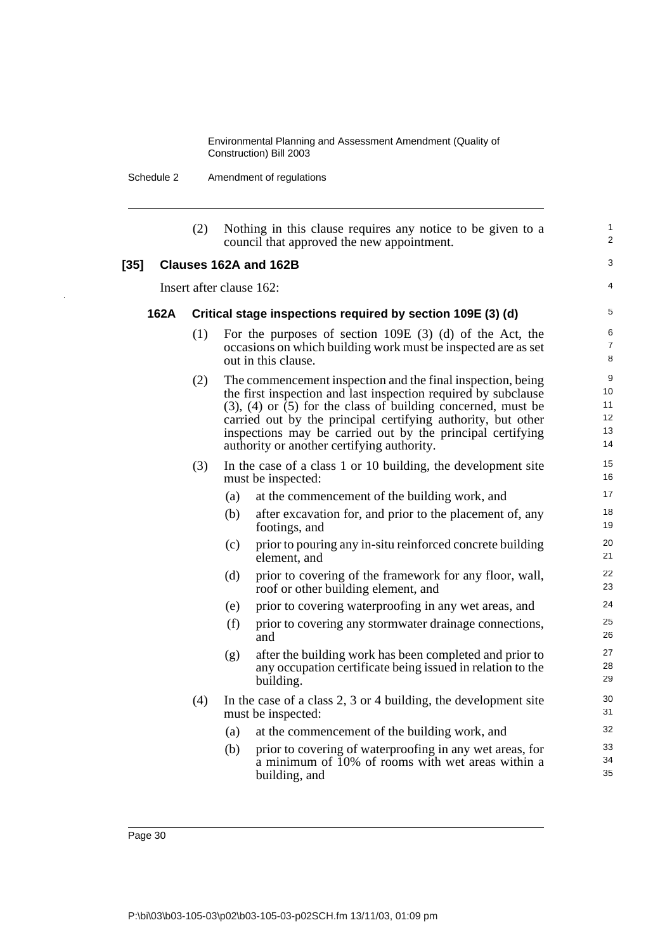Schedule 2 Amendment of regulations

(2) Nothing in this clause requires any notice to be given to a council that approved the new appointment.

## **[35] Clauses 162A and 162B**

Insert after clause 162:

## 3 4

1  $\overline{2}$ 

#### **162A Critical stage inspections required by section 109E (3) (d)**

- (1) For the purposes of section 109E (3) (d) of the Act, the occasions on which building work must be inspected are as set out in this clause.
- (2) The commencement inspection and the final inspection, being the first inspection and last inspection required by subclause (3), (4) or (5) for the class of building concerned, must be carried out by the principal certifying authority, but other inspections may be carried out by the principal certifying authority or another certifying authority.
- (3) In the case of a class 1 or 10 building, the development site must be inspected:
	- (a) at the commencement of the building work, and
	- (b) after excavation for, and prior to the placement of, any footings, and
	- (c) prior to pouring any in-situ reinforced concrete building element, and
	- (d) prior to covering of the framework for any floor, wall, roof or other building element, and
	- (e) prior to covering waterproofing in any wet areas, and
	- (f) prior to covering any stormwater drainage connections, and
	- (g) after the building work has been completed and prior to any occupation certificate being issued in relation to the building.
- (4) In the case of a class 2, 3 or 4 building, the development site must be inspected:
	- (a) at the commencement of the building work, and
	- (b) prior to covering of waterproofing in any wet areas, for a minimum of 10% of rooms with wet areas within a building, and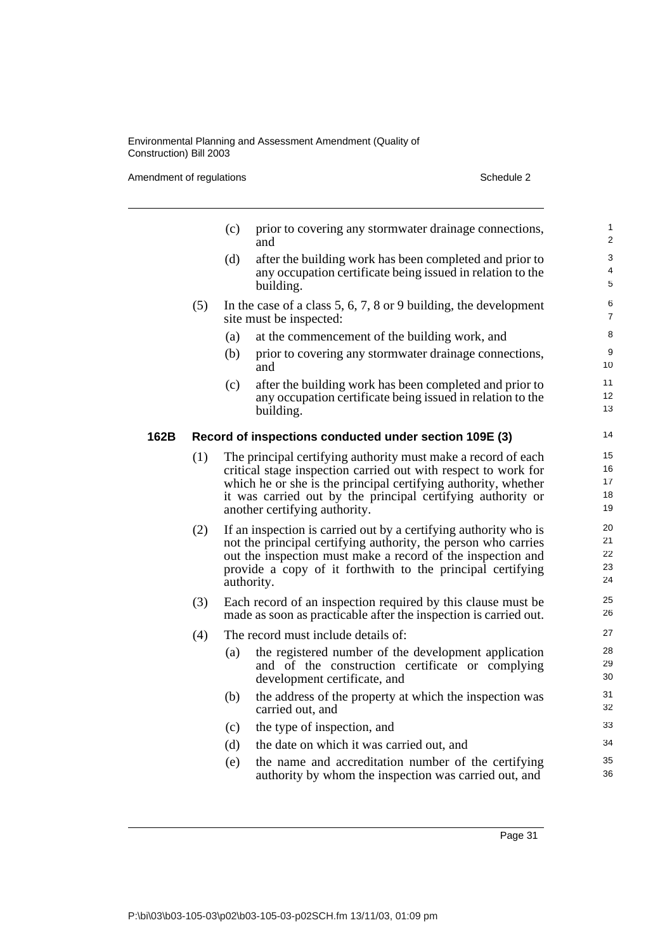Amendment of regulations **Schedule 2** Schedule 2

|      |     | (c)                                                                                                                              | prior to covering any stormwater drainage connections,<br>and                                                                            | 1<br>2         |  |  |
|------|-----|----------------------------------------------------------------------------------------------------------------------------------|------------------------------------------------------------------------------------------------------------------------------------------|----------------|--|--|
|      |     | (d)                                                                                                                              | after the building work has been completed and prior to<br>any occupation certificate being issued in relation to the<br>building.       | 3<br>4<br>5    |  |  |
|      | (5) | In the case of a class $5, 6, 7, 8$ or 9 building, the development<br>site must be inspected:                                    |                                                                                                                                          |                |  |  |
|      |     | (a)                                                                                                                              | at the commencement of the building work, and                                                                                            | 8              |  |  |
|      |     | (b)                                                                                                                              | prior to covering any stormwater drainage connections,<br>and                                                                            | 9<br>10        |  |  |
|      |     | (c)                                                                                                                              | after the building work has been completed and prior to<br>any occupation certificate being issued in relation to the<br>building.       | 11<br>12<br>13 |  |  |
| 162B |     |                                                                                                                                  | Record of inspections conducted under section 109E (3)                                                                                   | 14             |  |  |
|      | (1) |                                                                                                                                  | The principal certifying authority must make a record of each                                                                            |                |  |  |
|      |     |                                                                                                                                  | critical stage inspection carried out with respect to work for                                                                           | 16<br>17       |  |  |
|      |     |                                                                                                                                  | which he or she is the principal certifying authority, whether<br>it was carried out by the principal certifying authority or            | 18             |  |  |
|      |     | another certifying authority.                                                                                                    |                                                                                                                                          |                |  |  |
|      | (2) | If an inspection is carried out by a certifying authority who is                                                                 |                                                                                                                                          |                |  |  |
|      |     | not the principal certifying authority, the person who carries                                                                   |                                                                                                                                          |                |  |  |
|      |     |                                                                                                                                  | out the inspection must make a record of the inspection and                                                                              |                |  |  |
|      |     | provide a copy of it forthwith to the principal certifying<br>authority.                                                         |                                                                                                                                          |                |  |  |
|      | (3) | Each record of an inspection required by this clause must be<br>made as soon as practicable after the inspection is carried out. |                                                                                                                                          |                |  |  |
|      | (4) |                                                                                                                                  | The record must include details of:                                                                                                      |                |  |  |
|      |     | (a)                                                                                                                              | the registered number of the development application<br>and of the construction certificate or complying<br>development certificate, and | 28<br>29<br>30 |  |  |
|      |     | (b)                                                                                                                              | the address of the property at which the inspection was<br>carried out, and                                                              | 31<br>32       |  |  |
|      |     | (c)                                                                                                                              | the type of inspection, and                                                                                                              | 33             |  |  |
|      |     | (d)                                                                                                                              | the date on which it was carried out, and                                                                                                | 34             |  |  |
|      |     | (e)                                                                                                                              | the name and accreditation number of the certifying<br>authority by whom the inspection was carried out, and                             | 35<br>36       |  |  |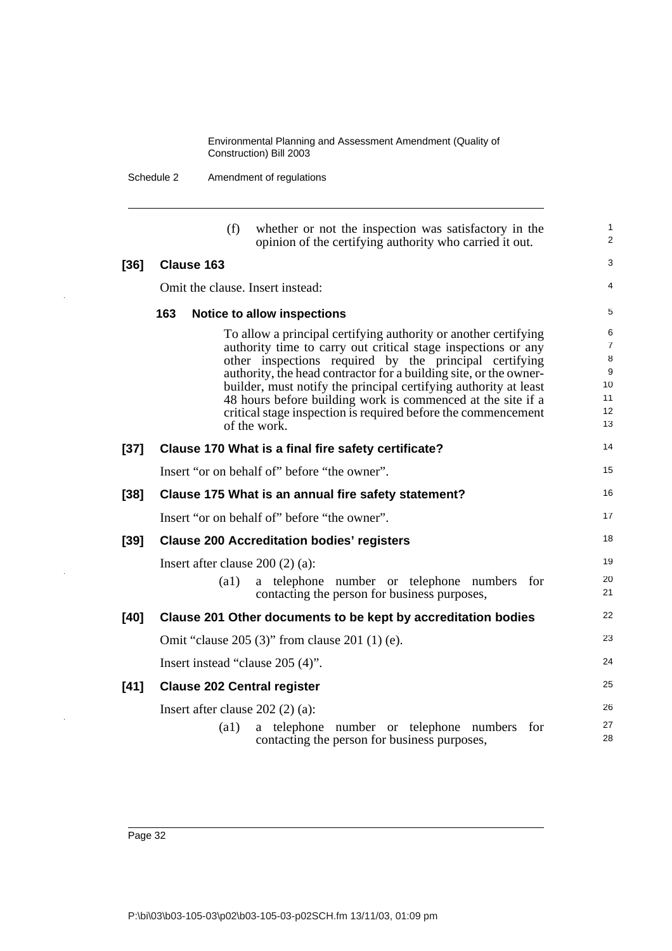Schedule 2 Amendment of regulations

 $\ddot{\phantom{a}}$ 

J.

|        | (f)<br>whether or not the inspection was satisfactory in the<br>opinion of the certifying authority who carried it out.                                                                                                                                                                                                                                                                                                                                                             | 1<br>2                                   |
|--------|-------------------------------------------------------------------------------------------------------------------------------------------------------------------------------------------------------------------------------------------------------------------------------------------------------------------------------------------------------------------------------------------------------------------------------------------------------------------------------------|------------------------------------------|
| $[36]$ | <b>Clause 163</b>                                                                                                                                                                                                                                                                                                                                                                                                                                                                   | 3                                        |
|        | Omit the clause. Insert instead:                                                                                                                                                                                                                                                                                                                                                                                                                                                    | 4                                        |
|        | 163<br>Notice to allow inspections                                                                                                                                                                                                                                                                                                                                                                                                                                                  | 5                                        |
|        | To allow a principal certifying authority or another certifying<br>authority time to carry out critical stage inspections or any<br>other inspections required by the principal certifying<br>authority, the head contractor for a building site, or the owner-<br>builder, must notify the principal certifying authority at least<br>48 hours before building work is commenced at the site if a<br>critical stage inspection is required before the commencement<br>of the work. | 6<br>7<br>8<br>9<br>10<br>11<br>12<br>13 |
| $[37]$ | Clause 170 What is a final fire safety certificate?                                                                                                                                                                                                                                                                                                                                                                                                                                 | 14                                       |
|        | Insert "or on behalf of" before "the owner".                                                                                                                                                                                                                                                                                                                                                                                                                                        | 15                                       |
| $[38]$ | Clause 175 What is an annual fire safety statement?                                                                                                                                                                                                                                                                                                                                                                                                                                 | 16                                       |
|        | Insert "or on behalf of" before "the owner".                                                                                                                                                                                                                                                                                                                                                                                                                                        | 17                                       |
| $[39]$ | <b>Clause 200 Accreditation bodies' registers</b>                                                                                                                                                                                                                                                                                                                                                                                                                                   | 18                                       |
|        | Insert after clause $200(2)(a)$ :                                                                                                                                                                                                                                                                                                                                                                                                                                                   | 19                                       |
|        | $\left( a1\right)$<br>a telephone number or telephone numbers for<br>contacting the person for business purposes,                                                                                                                                                                                                                                                                                                                                                                   | 20<br>21                                 |
| $[40]$ | Clause 201 Other documents to be kept by accreditation bodies                                                                                                                                                                                                                                                                                                                                                                                                                       | 22                                       |
|        | Omit "clause 205 (3)" from clause 201 (1) (e).                                                                                                                                                                                                                                                                                                                                                                                                                                      | 23                                       |
|        | Insert instead "clause 205 (4)".                                                                                                                                                                                                                                                                                                                                                                                                                                                    | 24                                       |
| $[41]$ | <b>Clause 202 Central register</b>                                                                                                                                                                                                                                                                                                                                                                                                                                                  | 25                                       |
|        | Insert after clause $202(2)(a)$ :                                                                                                                                                                                                                                                                                                                                                                                                                                                   | 26                                       |
|        | (a1)<br>a telephone number or telephone numbers<br>for<br>contacting the person for business purposes,                                                                                                                                                                                                                                                                                                                                                                              | 27<br>28                                 |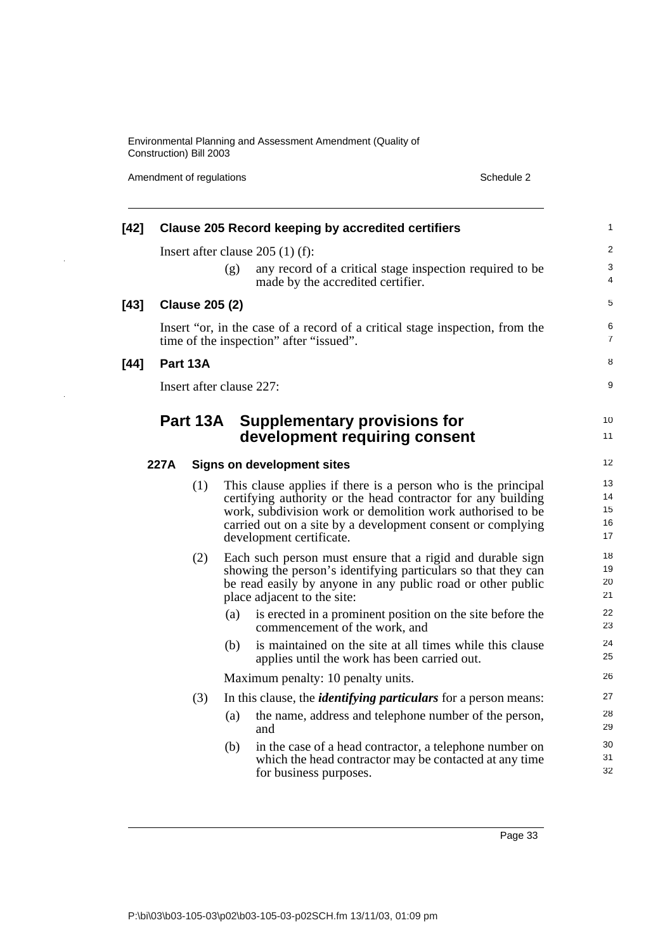Amendment of regulations **Schedule 2** Schedule 2

 $\ddot{\phantom{1}}$ 

| [42]   |                                                                                  |                       |     | <b>Clause 205 Record keeping by accredited certifiers</b>                                                                                                                                                                                                                              | $\mathbf 1$                |  |  |  |  |
|--------|----------------------------------------------------------------------------------|-----------------------|-----|----------------------------------------------------------------------------------------------------------------------------------------------------------------------------------------------------------------------------------------------------------------------------------------|----------------------------|--|--|--|--|
|        | Insert after clause $205(1)(f)$ :                                                |                       |     |                                                                                                                                                                                                                                                                                        |                            |  |  |  |  |
|        |                                                                                  |                       | (g) | any record of a critical stage inspection required to be<br>made by the accredited certifier.                                                                                                                                                                                          | 3<br>4                     |  |  |  |  |
| $[43]$ |                                                                                  | <b>Clause 205 (2)</b> |     |                                                                                                                                                                                                                                                                                        | 5                          |  |  |  |  |
|        |                                                                                  |                       |     | Insert "or, in the case of a record of a critical stage inspection, from the<br>time of the inspection" after "issued".                                                                                                                                                                | 6<br>$\overline{7}$        |  |  |  |  |
| $[44]$ |                                                                                  | Part 13A              |     |                                                                                                                                                                                                                                                                                        | 8                          |  |  |  |  |
|        | Insert after clause 227:                                                         |                       |     |                                                                                                                                                                                                                                                                                        |                            |  |  |  |  |
|        | Part 13A<br><b>Supplementary provisions for</b><br>development requiring consent |                       |     |                                                                                                                                                                                                                                                                                        |                            |  |  |  |  |
|        | 227A                                                                             |                       |     | <b>Signs on development sites</b>                                                                                                                                                                                                                                                      | 12                         |  |  |  |  |
|        |                                                                                  | (1)                   |     | This clause applies if there is a person who is the principal<br>certifying authority or the head contractor for any building<br>work, subdivision work or demolition work authorised to be<br>carried out on a site by a development consent or complying<br>development certificate. | 13<br>14<br>15<br>16<br>17 |  |  |  |  |
|        |                                                                                  | (2)                   |     | Each such person must ensure that a rigid and durable sign<br>showing the person's identifying particulars so that they can<br>be read easily by anyone in any public road or other public<br>place adjacent to the site:                                                              | 18<br>19<br>20<br>21       |  |  |  |  |
|        |                                                                                  |                       | (a) | is erected in a prominent position on the site before the<br>commencement of the work, and                                                                                                                                                                                             | 22<br>23                   |  |  |  |  |
|        |                                                                                  |                       | (b) | is maintained on the site at all times while this clause<br>applies until the work has been carried out.                                                                                                                                                                               | 24<br>25                   |  |  |  |  |
|        |                                                                                  |                       |     | Maximum penalty: 10 penalty units.                                                                                                                                                                                                                                                     | 26                         |  |  |  |  |
|        |                                                                                  | (3)                   |     | In this clause, the <i>identifying particulars</i> for a person means:                                                                                                                                                                                                                 | 27                         |  |  |  |  |
|        |                                                                                  |                       | (a) | the name, address and telephone number of the person,<br>and                                                                                                                                                                                                                           | 28<br>29                   |  |  |  |  |
|        |                                                                                  |                       | (b) | in the case of a head contractor, a telephone number on<br>which the head contractor may be contacted at any time<br>for business purposes.                                                                                                                                            | 30<br>31<br>32             |  |  |  |  |